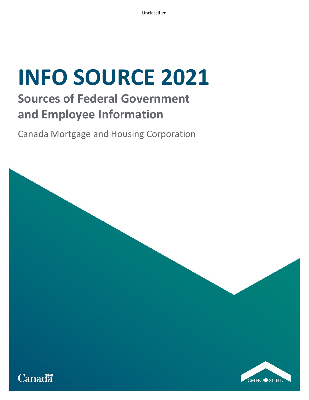## **Sources of Federal Government and Employee Information**

Canada Mortgage and Housing Corporation

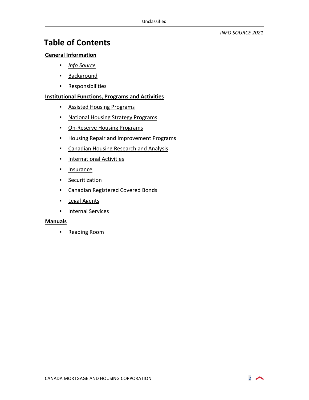## **Table of Contents**

#### **[General Information](#page-1-0)**

- **[Info Source](#page-2-0)**
- **[Background](#page-2-1)**
- **[Responsibilities](#page-2-2)**

#### **[Institutional Functions, Programs and Activities](#page-3-0)**

- **[Assisted Housing Programs](#page-3-1)**
- **[National Housing Strategy Programs](#page-11-0)**
- **-** [On-Reserve Housing Programs](#page-23-0)
- **[Housing Repair and Improvement Programs](#page-28-0)**
- **Examadian Housing Research and Analysis**
- **[International Activities](#page-38-0)**
- **[Insurance](#page-38-1)**
- **[Securitization](#page-43-0)**
- **Example 2** [Canadian Registered Covered Bonds](#page-45-0)
- **[Legal Agents](#page-46-0)**
- **[Internal Services](#page-48-0)**

#### **[Manuals](#page-54-0)**

<span id="page-1-0"></span>**[Reading Room](#page-56-0)** 

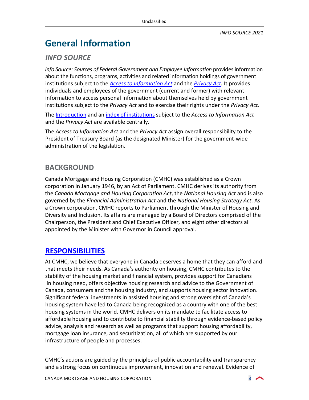## **General Information**

## <span id="page-2-0"></span>*INFO SOURCE*

*Info Source: Sources of Federal Government and Employee Information* provides information about the functions, programs, activities and related information holdings of government institutions subject to the *[Access to Information Act](http://laws-lois.justice.gc.ca/eng/acts/A-1/)* and the *[Privacy Act.](http://laws-lois.justice.gc.ca/eng/acts/p-21/)* It provides individuals and employees of the government (current and former) with relevant information to access personal information about themselves held by government institutions subject to the *Privacy Act* and to exercise their rights under the *Privacy Act*.

The [Introduction](http://www.infosource.gc.ca/emp/emp01-eng.asp) and an [index of institutions](https://www.canada.ca/en/treasury-board-secretariat/services/access-information-privacy/access-information/information-about-programs-information-holdings/sources-federal-government-employee-information.html) subject to the *Access to Information Act* and the *Privacy Act* are available centrally.

The *Access to Information Act* and the *Privacy Act* assign overall responsibility to the President of Treasury Board (as the designated Minister) for the government-wide administration of the legislation.

## <span id="page-2-1"></span>**BACKGROUND**

Canada Mortgage and Housing Corporation (CMHC) was established as a Crown corporation in January 1946, by an Act of Parliament. CMHC derives its authority from the *Canada Mortgage and Housing Corporation Act*, the *National Housing Act* and is also governed by the *Financial Administration Act* and the *National Housing Strategy Act*. As a Crown corporation, CMHC reports to Parliament through the Minister of Housing and Diversity and Inclusion. Its affairs are managed by a Board of Directors comprised of the Chairperson, the President and Chief Executive Officer, and eight other directors all appointed by the Minister with Governor in Council approval.

## <span id="page-2-2"></span>**[RESPONSIBILITIES](https://www.cmhc-schl.gc.ca/en/about-cmhc/cmhcs-story)**

At CMHC, we believe that everyone in Canada deserves a home that they can afford and that meets their needs. As Canada's authority on housing, CMHC contributes to the stability of the housing market and financial system, provides support for Canadians in housing need, offers objective housing research and advice to the Government of Canada, consumers and the housing industry, and supports housing sector innovation. Significant federal investments in assisted housing and strong oversight of Canada's housing system have led to Canada being recognized as a country with one of the best housing systems in the world. CMHC delivers on its mandate to facilitate access to affordable housing and to contribute to financial stability through evidence-based policy advice, analysis and research as well as programs that support housing affordability, mortgage loan insurance, and securitization, all of which are supported by our infrastructure of people and processes.

CMHC's actions are guided by the principles of public accountability and transparency and a strong focus on continuous improvement, innovation and renewal. Evidence of

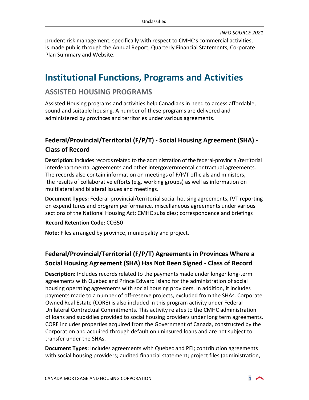prudent risk management, specifically with respect to CMHC's commercial activities, is made public through the Annual Report, Quarterly Financial Statements, Corporate Plan Summary and Website.

## <span id="page-3-0"></span>**Institutional Functions, Programs and Activities**

## <span id="page-3-1"></span>**ASSISTED HOUSING PROGRAMS**

Assisted Housing programs and activities help Canadians in need to access affordable, sound and suitable housing. A number of these programs are delivered and administered by provinces and territories under various agreements.

## **Federal/Provincial/Territorial (F/P/T) - Social Housing Agreement (SHA) - Class of Record**

**Description:** Includes records related to the administration of the federal-provincial/territorial interdepartmental agreements and other intergovernmental contractual agreements. The records also contain information on meetings of F/P/T officials and ministers, the results of collaborative efforts (e.g. working groups) as well as information on multilateral and bilateral issues and meetings.

**Document Types:** Federal-provincial/territorial social housing agreements, P/T reporting on expenditures and program performance, miscellaneous agreements under various sections of the National Housing Act; CMHC subsidies; correspondence and briefings

#### **Record Retention Code:** CO350

**Note:** Files arranged by province, municipality and project.

## **Federal/Provincial/Territorial (F/P/T) Agreements in Provinces Where a Social Housing Agreement (SHA) Has Not Been Signed - Class of Record**

**Description:** Includes records related to the payments made under longer long-term agreements with Quebec and Prince Edward Island for the administration of social housing operating agreements with social housing providers. In addition, it includes payments made to a number of off-reserve projects, excluded from the SHAs. Corporate Owned Real Estate (CORE) is also included in this program activity under Federal Unilateral Contractual Commitments. This activity relates to the CMHC administration of loans and subsidies provided to social housing providers under long term agreements. CORE includes properties acquired from the Government of Canada, constructed by the Corporation and acquired through default on uninsured loans and are not subject to transfer under the SHAs.

**Document Types:** Includes agreements with Quebec and PEI; contribution agreements with social housing providers; audited financial statement; project files (administration,

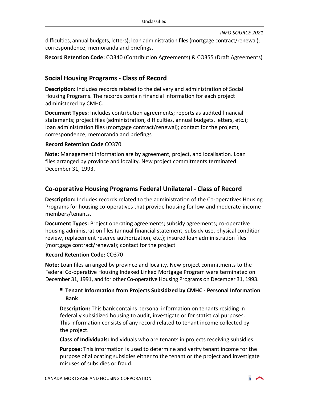difficulties, annual budgets, letters); loan administration files (mortgage contract/renewal); correspondence; memoranda and briefings.

**Record Retention Code:** CO340 (Contribution Agreements) & CO355 (Draft Agreements)

## **Social Housing Programs - Class of Record**

**Description:** Includes records related to the delivery and administration of Social Housing Programs. The records contain financial information for each project administered by CMHC.

**Document Types:** Includes contribution agreements; reports as audited financial statements; project files (administration, difficulties, annual budgets, letters, etc.); loan administration files (mortgage contract/renewal); contact for the project); correspondence; memoranda and briefings

#### **Record Retention Code** CO370

**Note:** Management information are by agreement, project, and localisation. Loan files arranged by province and locality. New project commitments terminated December 31, 1993.

## **Co-operative Housing Programs Federal Unilateral - Class of Record**

**Description:** Includes records related to the administration of the Co-operatives Housing Programs for housing co-operatives that provide housing for low-and moderate-income members/tenants.

**Document Types:** Project operating agreements; subsidy agreements; co-operative housing administration files (annual financial statement, subsidy use, physical condition review, replacement reserve authorization, etc.); insured loan administration files (mortgage contract/renewal); contact for the project

#### **Record Retention Code:** CO370

**Note:** Loan files arranged by province and locality. New project commitments to the Federal Co-operative Housing Indexed Linked Mortgage Program were terminated on December 31, 1991, and for other Co-operative Housing Programs on December 31, 1993.

#### **Tenant Information from Projects Subsidized by CMHC - Personal Information Bank**

**Description:** This bank contains personal information on tenants residing in federally subsidized housing to audit, investigate or for statistical purposes. This information consists of any record related to tenant income collected by the project.

**Class of Individuals:** Individuals who are tenants in projects receiving subsidies.

**Purpose:** This information is used to determine and verify tenant income for the purpose of allocating subsidies either to the tenant or the project and investigate misuses of subsidies or fraud.

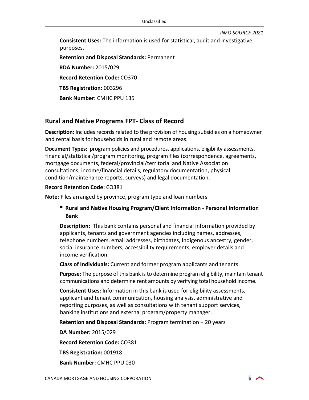**Consistent Uses:** The information is used for statistical, audit and investigative purposes.

**Retention and Disposal Standards:** Permanent **RDA Number:** 2015/029 **Record Retention Code:** CO370 **TBS Registration:** 003296 **Bank Number:** CMHC PPU 135

#### **Rural and Native Programs FPT- Class of Record**

**Description:** Includes records related to the provision of housing subsidies on a homeowner and rental basis for households in rural and remote areas.

**Document Types:** program policies and procedures, applications, eligibility assessments, financial/statistical/program monitoring, program files (correspondence, agreements, mortgage documents, federal/provincial/territorial and Native Association consultations, income/financial details, regulatory documentation, physical condition/maintenance reports, surveys) and legal documentation.

#### **Record Retention Code:** CO381

**Note:** Files arranged by province, program type and loan numbers

#### **Rural and Native Housing Program/Client Information - Personal Information Bank**

**Description:** This bank contains personal and financial information provided by applicants, tenants and government agencies including names, addresses, telephone numbers, email addresses, birthdates, Indigenous ancestry, gender, social insurance numbers, accessibility requirements, employer details and income verification.

**Class of Individuals:** Current and former program applicants and tenants.

**Purpose:** The purpose of this bank is to determine program eligibility, maintain tenant communications and determine rent amounts by verifying total household income.

**Consistent Uses:** Information in this bank is used for eligibility assessments, applicant and tenant communication, housing analysis, administrative and reporting purposes, as well as consultations with tenant support services, banking institutions and external program/property manager.

**Retention and Disposal Standards:** Program termination + 20 years

**DA Number:** 2015/029

**Record Retention Code:** CO381

**TBS Registration:** 001918

**Bank Number:** CMHC PPU 030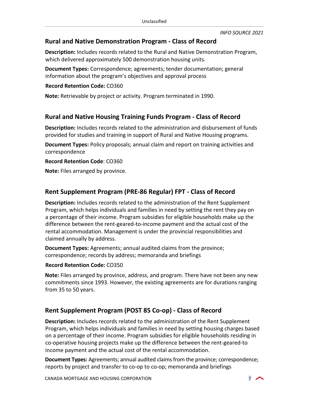## **Rural and Native Demonstration Program - Class of Record**

**Description:** Includes records related to the Rural and Native Demonstration Program, which delivered approximately 500 demonstration housing units.

**Document Types:** Correspondence; agreements; tender documentation; general information about the program's objectives and approval process

#### **Record Retention Code:** CO360

**Note:** Retrievable by project or activity. Program terminated in 1990.

#### **Rural and Native Housing Training Funds Program - Class of Record**

**Description:** Includes records related to the administration and disbursement of funds provided for studies and training in support of Rural and Native Housing programs.

**Document Types:** Policy proposals; annual claim and report on training activities and correspondence

#### **Record Retention Code**: CO360

**Note:** Files arranged by province.

## **Rent Supplement Program (PRE-86 Regular) FPT - Class of Record**

**Description:** Includes records related to the administration of the Rent Supplement Program, which helps individuals and families in need by setting the rent they pay on a percentage of their income. Program subsidies for eligible households make up the difference between the rent-geared-to-income payment and the actual cost of the rental accommodation. Management is under the provincial responsibilities and claimed annually by address.

**Document Types:** Agreements; annual audited claims from the province; correspondence; records by address; memoranda and briefings

#### **Record Retention Code:** CO350

**Note:** Files arranged by province, address, and program. There have not been any new commitments since 1993. However, the existing agreements are for durations ranging from 35 to 50 years.

## **Rent Supplement Program (POST 85 Co-op) - Class of Record**

**Description:** Includes records related to the administration of the Rent Supplement Program, which helps individuals and families in need by setting housing charges based on a percentage of their income. Program subsidies for eligible households residing in co-operative housing projects make up the difference between the rent-geared-to income payment and the actual cost of the rental accommodation.

**Document Types:** Agreements; annual audited claims from the province; correspondence; reports by project and transfer to co-op to co-op; memoranda and briefings

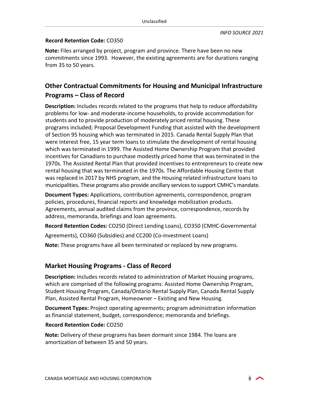#### **Record Retention Code:** CO350

**Note:** Files arranged by project, program and province. There have been no new commitments since 1993. However, the existing agreements are for durations ranging from 35 to 50 years.

## **Other Contractual Commitments for Housing and Municipal Infrastructure Programs – Class of Record**

**Description:** Includes records related to the programs that help to reduce affordability problems for low- and moderate-income households, to provide accommodation for students and to provide production of moderately priced rental housing. These programs included; Proposal Development Funding that assisted with the development of Section 95 housing which was terminated in 2015. Canada Rental Supply Plan that were interest free, 15 year term loans to stimulate the development of rental housing which was terminated in 1999. The Assisted Home Ownership Program that provided incentives for Canadians to purchase modestly priced home that was terminated in the 1970s. The Assisted Rental Plan that provided incentives to entrepreneurs to create new rental housing that was terminated in the 1970s. The Affordable Housing Centre that was replaced in 2017 by NHS program, and the Housing related infrastructure loans to municipalities. These programs also provide ancillary services to support CMHC's mandate.

**Document Types:** Applications, contribution agreements, correspondence, program policies, procedures, financial reports and knowledge mobilization products. Agreements, annual audited claims from the province, correspondence, records by address, memoranda, briefings and loan agreements.

**Record Retention Codes:** CO250 (Direct Lending Loans), CO350 (CMHC-Governmental

Agreements), CO360 (Subsidies) and CC200 (Co-investment Loans)

**Note:** These programs have all been terminated or replaced by new programs.

## **Market Housing Programs - Class of Record**

**Description:** Includes records related to administration of Market Housing programs, which are comprised of the following programs: Assisted Home Ownership Program, Student Housing Program, Canada/Ontario Rental Supply Plan, Canada Rental Supply Plan, Assisted Rental Program, Homeowner – Existing and New Housing.

**Document Types:** Project operating agreements; program administration information as financial statement, budget, correspondence; memoranda and briefings.

#### **Record Retention Code:** CO250

**Note:** Delivery of these programs has been dormant since 1984. The loans are amortization of between 35 and 50 years.

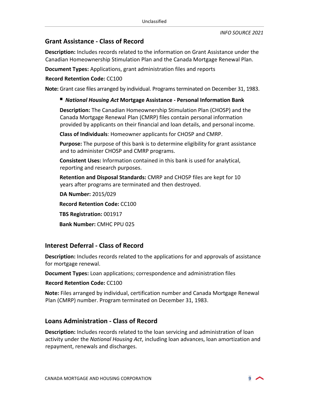## **Grant Assistance - Class of Record**

**Description:** Includes records related to the information on Grant Assistance under the Canadian Homeownership Stimulation Plan and the Canada Mortgage Renewal Plan.

**Document Types:** Applications, grant administration files and reports

**Record Retention Code:** CC100

**Note:** Grant case files arranged by individual. Programs terminated on December 31, 1983.

#### *National Housing Act* **Mortgage Assistance - Personal Information Bank**

**Description:** The Canadian Homeownership Stimulation Plan (CHOSP) and the Canada Mortgage Renewal Plan (CMRP) files contain personal information provided by applicants on their financial and loan details, and personal income.

**Class of Individuals**: Homeowner applicants for CHOSP and CMRP.

**Purpose:** The purpose of this bank is to determine eligibility for grant assistance and to administer CHOSP and CMRP programs.

**Consistent Uses:** Information contained in this bank is used for analytical, reporting and research purposes.

**Retention and Disposal Standards:** CMRP and CHOSP files are kept for 10 years after programs are terminated and then destroyed.

**DA Number:** 2015/029 **Record Retention Code:** CC100 **TBS Registration:** 001917 **Bank Number:** CMHC PPU 025

## **Interest Deferral - Class of Record**

**Description:** Includes records related to the applications for and approvals of assistance for mortgage renewal.

**Document Types:** Loan applications; correspondence and administration files

#### **Record Retention Code:** CC100

**Note:** Files arranged by individual, certification number and Canada Mortgage Renewal Plan (CMRP) number. Program terminated on December 31, 1983.

#### **Loans Administration - Class of Record**

**Description:** Includes records related to the loan servicing and administration of loan activity under the *National Housing Act*, including loan advances, loan amortization and repayment, renewals and discharges.

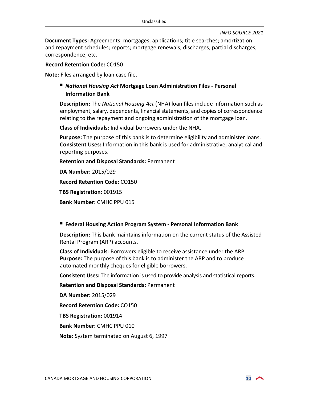**Document Types:** Agreements; mortgages; applications; title searches; amortization and repayment schedules; reports; mortgage renewals; discharges; partial discharges; correspondence; etc.

#### **Record Retention Code:** CO150

**Note:** Files arranged by loan case file.

#### *National Housing Act* **Mortgage Loan Administration Files - Personal Information Bank**

**Description:** The *National Housing Act* (NHA) loan files include information such as employment, salary, dependents, financial statements, and copies of correspondence relating to the repayment and ongoing administration of the mortgage loan.

**Class of Individuals:** Individual borrowers under the NHA.

**Purpose:** The purpose of this bank is to determine eligibility and administer loans. **Consistent Uses:** Information in this bank is used for administrative, analytical and reporting purposes.

**Retention and Disposal Standards:** Permanent

**DA Number:** 2015/029

**Record Retention Code:** CO150

**TBS Registration:** 001915

**Bank Number:** CMHC PPU 015

#### **Federal Housing Action Program System - Personal Information Bank**

**Description:** This bank maintains information on the current status of the Assisted Rental Program (ARP) accounts.

**Class of Individuals**: Borrowers eligible to receive assistance under the ARP. **Purpose:** The purpose of this bank is to administer the ARP and to produce automated monthly cheques for eligible borrowers.

**Consistent Uses:** The information is used to provide analysis and statistical reports.

**Retention and Disposal Standards:** Permanent

**DA Number:** 2015/029

**Record Retention Code:** CO150

**TBS Registration:** 001914

**Bank Number:** CMHC PPU 010

**Note:** System terminated on August 6, 1997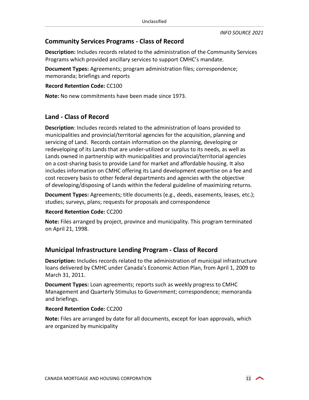#### **Community Services Programs - Class of Record**

**Description:** Includes records related to the administration of the Community Services Programs which provided ancillary services to support CMHC's mandate.

**Document Types:** Agreements; program administration files; correspondence; memoranda; briefings and reports

#### **Record Retention Code:** CC100

**Note:** No new commitments have been made since 1973.

#### **Land - Class of Record**

**Description**: Includes records related to the administration of loans provided to municipalities and provincial/territorial agencies for the acquisition, planning and servicing of Land. Records contain information on the planning, developing or redeveloping of its Lands that are under-utilized or surplus to its needs, as well as Lands owned in partnership with municipalities and provincial/territorial agencies on a cost-sharing basis to provide Land for market and affordable housing. It also includes information on CMHC offering its Land development expertise on a fee and cost recovery basis to other federal departments and agencies with the objective of developing/disposing of Lands within the federal guideline of maximizing returns.

**Document Types:** Agreements; title documents (e.g., deeds, easements, leases, etc.); studies; surveys, plans; requests for proposals and correspondence

#### **Record Retention Code:** CC200

**Note:** Files arranged by project, province and municipality. This program terminated on April 21, 1998.

#### **Municipal Infrastructure Lending Program - Class of Record**

**Description:** Includes records related to the administration of municipal infrastructure loans delivered by CMHC under Canada's Economic Action Plan, from April 1, 2009 to March 31, 2011.

**Document Types:** Loan agreements; reports such as weekly progress to CMHC Management and Quarterly Stimulus to Government; correspondence; memoranda and briefings.

#### **Record Retention Code:** CC200

**Note:** Files are arranged by date for all documents, except for loan approvals, which are organized by municipality

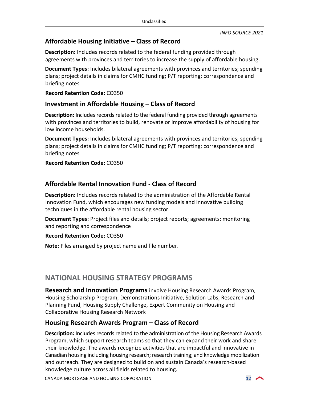## **Affordable Housing Initiative – Class of Record**

**Description:** Includes records related to the federal funding provided through agreements with provinces and territories to increase the supply of affordable housing.

**Document Types:** Includes bilateral agreements with provinces and territories; spending plans; project details in claims for CMHC funding; P/T reporting; correspondence and briefing notes

**Record Retention Code:** CO350

## **Investment in Affordable Housing – Class of Record**

**Description:** Includes records related to the federal funding provided through agreements with provinces and territories to build, renovate or improve affordability of housing for low income households.

**Document Types:** Includes bilateral agreements with provinces and territories; spending plans; project details in claims for CMHC funding; P/T reporting; correspondence and briefing notes

**Record Retention Code:** CO350

## **Affordable Rental Innovation Fund - Class of Record**

**Description:** Includes records related to the administration of the Affordable Rental Innovation Fund, which encourages new funding models and innovative building techniques in the affordable rental housing sector.

**Document Types:** Project files and details; project reports; agreements; monitoring and reporting and correspondence

**Record Retention Code:** CO350

**Note:** Files arranged by project name and file number.

## <span id="page-11-0"></span>**NATIONAL HOUSING STRATEGY PROGRAMS**

**Research and Innovation Programs** involve Housing Research Awards Program, Housing Scholarship Program, Demonstrations Initiative, Solution Labs, Research and Planning Fund, Housing Supply Challenge, Expert Community on Housing and Collaborative Housing Research Network

#### **Housing Research Awards Program – Class of Record**

**Description:** Includes records related to the administration of the Housing Research Awards Program, which support research teams so that they can expand their work and share their knowledge. The awards recognize activities that are impactful and innovative in Canadian housing including housing research; research training; and knowledge mobilization and outreach. They are designed to build on and sustain Canada's research-based knowledge culture across all fields related to housing.

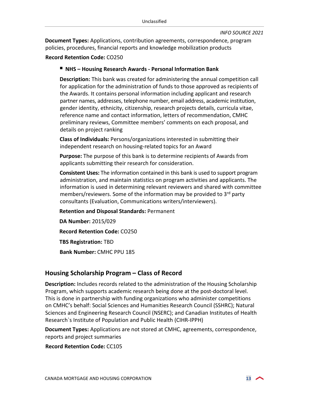**Document Types:** Applications, contribution agreements, correspondence, program policies, procedures, financial reports and knowledge mobilization products

#### **Record Retention Code:** CO250

#### ■ NHS – Housing Research Awards - Personal Information Bank

**Description:** This bank was created for administering the annual competition call for application for the administration of funds to those approved as recipients of the Awards. It contains personal information including applicant and research partner names, addresses, telephone number, email address, academic institution, gender identity, ethnicity, citizenship, research projects details, curricula vitae, reference name and contact information, letters of recommendation, CMHC preliminary reviews, Committee members' comments on each proposal, and details on project ranking

**Class of Individuals:** Persons/organizations interested in submitting their independent research on housing-related topics for an Award

**Purpose:** The purpose of this bank is to determine recipients of Awards from applicants submitting their research for consideration.

**Consistent Uses:** The information contained in this bank is used to support program administration, and maintain statistics on program activities and applicants. The information is used in determining relevant reviewers and shared with committee members/reviewers. Some of the information may be provided to  $3<sup>rd</sup>$  party consultants (Evaluation, Communications writers/interviewers).

**Retention and Disposal Standards:** Permanent

**DA Number:** 2015/029 **Record Retention Code:** CO250 **TBS Registration:** TBD **Bank Number:** CMHC PPU 185

## **Housing Scholarship Program – Class of Record**

**Description:** Includes records related to the administration of the Housing Scholarship Program, which supports academic research being done at the post-doctoral level. This is done in partnership with funding organizations who administer competitions on CMHC's behalf: [Social Sciences and Humanities Research Council](http://www.sshrc-crsh.gc.ca/home-accueil-eng.aspx) (SSHRC); [Natural](http://www.nserc-crsng.gc.ca/index_eng.asp)  [Sciences and Engineering Research Council](http://www.nserc-crsng.gc.ca/index_eng.asp) (NSERC); and [Canadian Institutes of Health](http://www.cihr-irsc.gc.ca/e/13777.html)  [Research`s Institute of Population and Public Health](http://www.cihr-irsc.gc.ca/e/13777.html) (CIHR-IPPH)

**Document Types:** Applications are not stored at CMHC, agreements, correspondence, reports and project summaries

**Record Retention Code:** CC105

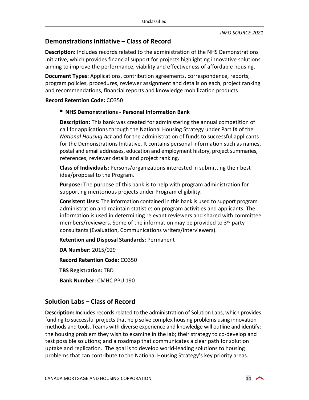## **Demonstrations Initiative – Class of Record**

**Description:** Includes records related to the administration of the NHS Demonstrations Initiative, which provides financial support for projects highlighting innovative solutions aiming to improve the performance, viability and effectiveness of affordable housing.

**Document Types:** Applications, contribution agreements, correspondence, reports, program policies, procedures, reviewer assignment and details on each, project ranking and recommendations, financial reports and knowledge mobilization products

#### **Record Retention Code:** CO350

#### ■ NHS Demonstrations - Personal Information Bank

**Description:** This bank was created for administering the annual competition of call for applications through the National Housing Strategy under Part IX of the *National Housing Act* and for the administration of funds to successful applicants for the Demonstrations Initiative. It contains personal information such as names, postal and email addresses, education and employment history, project summaries, references, reviewer details and project ranking.

**Class of Individuals:** Persons/organizations interested in submitting their best idea/proposal to the Program.

**Purpose:** The purpose of this bank is to help with program administration for supporting meritorious projects under Program eligibility.

**Consistent Uses:** The information contained in this bank is used to support program administration and maintain statistics on program activities and applicants. The information is used in determining relevant reviewers and shared with committee members/reviewers. Some of the information may be provided to 3<sup>rd</sup> party consultants (Evaluation, Communications writers/interviewers).

**Retention and Disposal Standards:** Permanent

**DA Number:** 2015/029 **Record Retention Code:** CO350 **TBS Registration:** TBD **Bank Number:** CMHC PPU 190

#### **Solution Labs – Class of Record**

**Description:** Includes records related to the administration of Solution Labs, which provides funding to successful projects that help solve complex housing problems using innovation methods and tools. Teams with diverse experience and knowledge will outline and identify: the housing problem they wish to examine in the lab; their strategy to co-develop and test possible solutions; and a roadmap that communicates a clear path for solution uptake and replication. The goal is to develop world-leading solutions to housing problems that can contribute to the National Housing Strategy's key [priority areas.](https://www.cmhc-schl.gc.ca/en/nhs/guidepage-strategy/priority-areas-for-action)

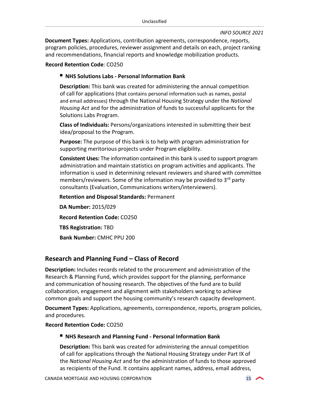**Document Types:** Applications, contribution agreements, correspondence, reports, program policies, procedures, reviewer assignment and details on each, project ranking and recommendations, financial reports and knowledge mobilization products.

#### **Record Retention Code**: CO250

#### ■ NHS Solutions Labs - Personal Information Bank

**Description:** This bank was created for administering the annual competition of call for applications (that contains personal information such as names, postal and email addresses) through the National Housing Strategy under the *National Housing Act* and for the administration of funds to successful applicants for the Solutions Labs Program.

**Class of Individuals:** Persons/organizations interested in submitting their best idea/proposal to the Program.

**Purpose:** The purpose of this bank is to help with program administration for supporting meritorious projects under Program eligibility.

**Consistent Uses:** The information contained in this bank is used to support program administration and maintain statistics on program activities and applicants. The information is used in determining relevant reviewers and shared with committee members/reviewers. Some of the information may be provided to 3<sup>rd</sup> party consultants (Evaluation, Communications writers/interviewers).

**Retention and Disposal Standards:** Permanent

**DA Number:** 2015/029 **Record Retention Code:** CO250 **TBS Registration:** TBD **Bank Number:** CMHC PPU 200

#### **Research and Planning Fund – Class of Record**

**Description:** Includes records related to the procurement and administration of the Research & Planning Fund, which provides support for the planning, performance and communication of housing research. The objectives of the fund are to build collaboration, engagement and alignment with stakeholders working to achieve common goals and support the housing community's research capacity development.

**Document Types:** Applications, agreements, correspondence, reports, program policies, and procedures.

**Record Retention Code:** CO250

#### **NHS Research and Planning Fund - Personal Information Bank**

**Description:** This bank was created for administering the annual competition of call for applications through the National Housing Strategy under Part IX of the *National Housing Act* and for the administration of funds to those approved as recipients of the Fund. It contains applicant names, address, email address,

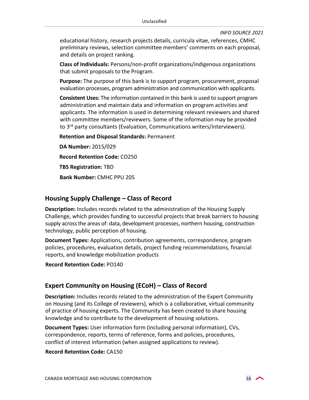educational history, research projects details, curricula vitae, references, CMHC preliminary reviews, selection committee members' comments on each proposal, and details on project ranking.

**Class of Individuals:** Persons/non-profit organizations/indigenous organizations that submit proposals to the Program.

**Purpose:** The purpose of this bank is to support program, procurement, proposal evaluation processes, program administration and communication with applicants.

**Consistent Uses:** The information contained in this bank is used to support program administration and maintain data and information on program activities and applicants. The information is used in determining relevant reviewers and shared with committee members/reviewers. Some of the information may be provided to 3rd party consultants (Evaluation, Communications writers/interviewers).

**Retention and Disposal Standards:** Permanent

**DA Number:** 2015/029 **Record Retention Code:** CO250 **TBS Registration:** TBD **Bank Number:** CMHC PPU 205

#### **Housing Supply Challenge – Class of Record**

**Description:** Includes records related to the administration of the Housing Supply Challenge, which provides funding to successful projects that break barriers to housing supply across the areas of: data, development processes, northern housing, construction technology, public perception of housing.

**Document Types:** Applications, contribution agreements, correspondence, program policies, procedures, evaluation details, project funding recommendations, financial reports, and knowledge mobilization products

**Record Retention Code:** PO140

## **Expert Community on Housing (ECoH) – Class of Record**

**Description:** Includes records related to the administration of the Expert Community on Housing (and its College of reviewers), which is a collaborative, virtual community of practice of housing experts. The Community has been created to share housing knowledge and to contribute to the development of housing solutions.

**Document Types:** User information form (including personal information), CVs, correspondence, reports, terms of reference, forms and policies, procedures, conflict of interest information (when assigned applications to review).

#### **Record Retention Code:** CA150

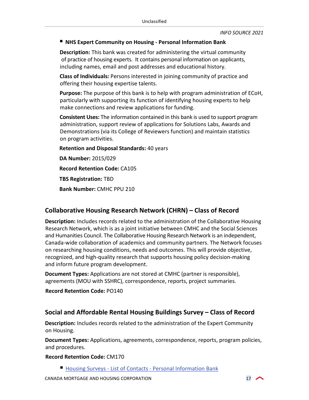#### **NHS Expert Community on Housing - Personal Information Bank**

**Description:** This bank was created for administering the virtual community of practice of housing experts. It contains personal information on applicants, including names, email and post addresses and educational history.

**Class of Individuals:** Persons interested in joining community of practice and offering their housing expertise talents.

**Purpose:** The purpose of this bank is to help with program administration of ECoH, particularly with supporting its function of identifying housing experts to help make connections and review applications for funding.

**Consistent Uses:** The information contained in this bank is used to support program administration, support review of applications for Solutions Labs, Awards and Demonstrations (via its College of Reviewers function) and maintain statistics on program activities.

**Retention and Disposal Standards:** 40 years

**DA Number:** 2015/029 **Record Retention Code:** CA105 **TBS Registration:** TBD

**Bank Number:** CMHC PPU 210

## **Collaborative Housing Research Network (CHRN) – Class of Record**

**Description:** Includes records related to the administration of the Collaborative Housing Research Network, which is as a joint initiative between CMHC and the [Social Sciences](http://www.sshrc-crsh.gc.ca/home-accueil-eng.aspx)  [and Humanities Council.](http://www.sshrc-crsh.gc.ca/home-accueil-eng.aspx) The Collaborative Housing Research Network is an independent, Canada-wide collaboration of academics and community partners. The Network focuses on researching housing conditions, needs and outcomes. This will provide objective, recognized, and high-quality research that supports housing policy decision-making and inform future program development.

**Document Types:** Applications are not stored at CMHC (partner is responsible), agreements (MOU with SSHRC), correspondence, reports, project summaries.

**Record Retention Code:** PO140

## **Social and Affordable Rental Housing Buildings Survey – Class of Record**

**Description:** Includes records related to the administration of the Expert Community on Housing.

**Document Types:** Applications, agreements, correspondence, reports, program policies, and procedures.

#### **Record Retention Code:** CM170

■ [Housing Surveys - List of Contacts - Personal Information Bank](#page-33-1)

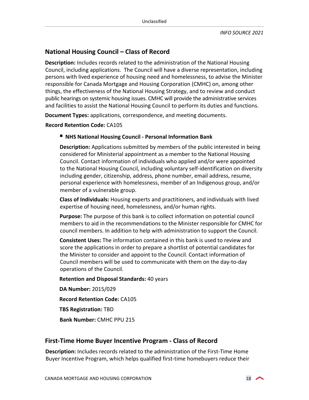## **National Housing Council – Class of Record**

**Description:** Includes records related to the administration of the National Housing Council, including applications. The Council will have a diverse representation, including persons with lived experience of housing need and homelessness, to advise the Minister responsible for Canada Mortgage and Housing Corporation (CMHC) on, among other things, the effectiveness of the National Housing Strategy, and to review and conduct public hearings on systemic housing issues. CMHC will provide the administrative services and facilities to assist the National Housing Council to perform its duties and functions.

**Document Types:** applications, correspondence, and meeting documents.

**Record Retention Code:** CA105

#### ■ NHS National Housing Council - Personal Information Bank

**Description:** Applications submitted by members of the public interested in being considered for Ministerial appointment as a member to the National Housing Council. Contact information of individuals who applied and/or were appointed to the National Housing Council, including voluntary self-identification on diversity including gender, citizenship, address, phone number, email address, resume, personal experience with homelessness, member of an Indigenous group, and/or member of a vulnerable group.

**Class of Individuals:** Housing experts and practitioners, and individuals with lived expertise of housing need, homelessness, and/or human rights.

**Purpose:** The purpose of this bank is to collect information on potential council members to aid in the recommendations to the Minister responsible for CMHC for council members. In addition to help with administration to support the Council.

**Consistent Uses:** The information contained in this bank is used to review and score the applications in order to prepare a shortlist of potential candidates for the Minister to consider and appoint to the Council. Contact information of Council members will be used to communicate with them on the day-to-day operations of the Council.

**Retention and Disposal Standards:** 40 years

**DA Number:** 2015/029

**Record Retention Code:** CA105

**TBS Registration:** TBD

**Bank Number:** CMHC PPU 215

#### **First-Time Home Buyer Incentive Program - Class of Record**

**Description:** Includes records related to the administration of the First-Time Home Buyer Incentive Program, which helps qualified first-time homebuyers reduce their

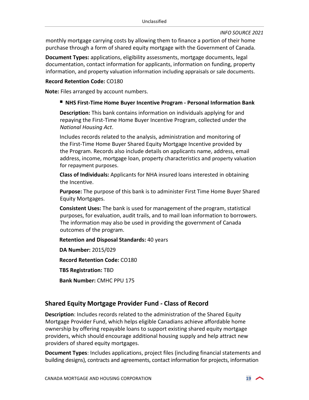monthly mortgage carrying costs by allowing them to finance a portion of their home purchase through a form of shared equity mortgage with the Government of Canada.

**Document Types:** applications, eligibility assessments, mortgage documents, legal documentation, contact information for applicants, information on funding, property information, and property valuation information including appraisals or sale documents.

#### **Record Retention Code:** CO180

**Note:** Files arranged by account numbers.

#### **NHS First-Time Home Buyer Incentive Program - Personal Information Bank**

**Description:** This bank contains information on individuals applying for and repaying the First-Time Home Buyer Incentive Program, collected under the *National Housing Act*.

Includes records related to the analysis, administration and monitoring of the First-Time Home Buyer Shared Equity Mortgage Incentive provided by the Program. Records also include details on applicants name, address, email address, income, mortgage loan, property characteristics and property valuation for repayment purposes.

**Class of Individuals:** Applicants for NHA insured loans interested in obtaining the Incentive.

**Purpose:** The purpose of this bank is to administer First Time Home Buyer Shared Equity Mortgages.

**Consistent Uses:** The bank is used for management of the program, statistical purposes, for evaluation, audit trails, and to mail loan information to borrowers. The information may also be used in providing the government of Canada outcomes of the program.

**Retention and Disposal Standards:** 40 years

**DA Number:** 2015/029 **Record Retention Code:** CO180

**TBS Registration:** TBD

**Bank Number:** CMHC PPU 175

#### **Shared Equity Mortgage Provider Fund - Class of Record**

**Description**: Includes records related to the administration of the Shared Equity Mortgage Provider Fund, which helps eligible Canadians achieve affordable home ownership by offering repayable loans to support existing shared equity mortgage providers, which should encourage additional housing supply and help attract new providers of shared equity mortgages.

**Document Types**: Includes applications, project files (including financial statements and building designs), contracts and agreements, contact information for projects, information

$$
\overline{\mathbf{19}} \quad \curvearrowleft
$$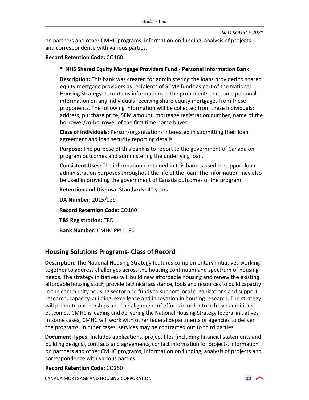on partners and other CMHC programs, information on funding, analysis of projects and correspondence with various parties.

#### **Record Retention Code:** CO160

#### ■ NHS Shared Equity Mortgage Providers Fund - Personal Information Bank

**Description:** This bank was created for administering the loans provided to shared equity mortgage providers as recipients of SEMP funds as part of the National Housing Strategy. It contains information on the proponents and some personal information on any individuals receiving share equity mortgages from these proponents. The following information will be collected from these individuals: address, purchase price, SEM amount, mortgage registration number, name of the borrower/co-borrower of the first time home buyer.

**Class of Individuals:** Person/organizations interested in submitting their loan agreement and loan security reporting details.

**Purpose:** The purpose of this bank is to report to the government of Canada on program outcomes and administering the underlying loan.

**Consistent Uses:** The information contained in this bank is used to support loan administration purposes throughout the life of the loan. The information may also be used in providing the government of Canada outcomes of the program.

**Retention and Disposal Standards:** 40 years

**DA Number:** 2015/029 **Record Retention Code:** CO160 **TBS Registration:** TBD **Bank Number:** CMHC PPU 180

## **Housing Solutions Programs- Class of Record**

**Description**: The National Housing Strategy features complementary initiatives working together to address challenges across the housing continuum and spectrum of housing needs. The strategy initiatives will build new affordable housing and renew the existing affordable housing stock, provide technical assistance, tools and resources to build capacity in the community housing sector and funds to support local organizations and support research, capacity-building, excellence and innovation in housing research. The strategy will promote partnerships and the alignment of efforts in order to achieve ambitious outcomes. CMHC is leading and delivering the National Housing Strategy federal initiatives. In some cases, CMHC will work with other federal departments or agencies to deliver the programs. In other cases, services may be contracted out to third parties.

**Document Types:** Includes applications, project files (including financial statements and building designs), contracts and agreements, contact information for projects, information on partners and other CMHC programs, information on funding, analysis of projects and correspondence with various parties.

#### **Record Retention Code**: CO250

CANADA MORTGAGE AND HOUSING CORPORATION **20**

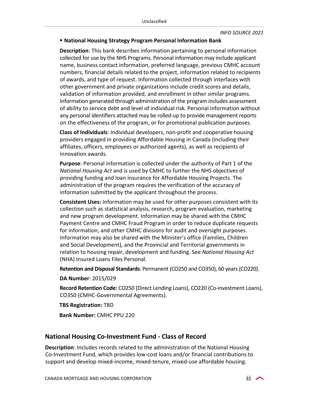#### <span id="page-20-0"></span>**National Housing Strategy Program Personal Information Bank**

**Description**: This bank describes information pertaining to personal information collected for use by the NHS Programs. Personal information may include applicant name, business contact information, preferred language, previous CMHC account numbers, financial details related to the project, information related to recipients of awards, and type of request. Information collected through interfaces with other government and private organizations include credit scores and details, validation of information provided, and enrollment in other similar programs. Information generated through administration of the program includes assessment of ability to service debt and level of individual risk. Personal information without any personal identifiers attached may be rolled-up to provide management reports on the effectiveness of the program, or for promotional publication purposes.

**Class of Individuals**: Individual developers, non-profit and cooperative housing providers engaged in providing Affordable Housing in Canada (including their affiliates, officers, employees or authorized agents), as well as recipients of innovation awards.

**Purpose**: Personal information is collected under the authority of Part 1 of the *National Housing Act* and is used by CMHC to further the NHS objectives of providing funding and loan insurance for Affordable Housing Projects. The administration of the program requires the verification of the accuracy of information submitted by the applicant throughout the process.

**Consistent Uses:** Information may be used for other purposes consistent with its collection such as statistical analysis, research, program evaluation, marketing and new program development. Information may be shared with the CMHC Payment Centre and CMHC Fraud Program in order to reduce duplicate requests for information, and other CMHC divisions for audit and oversight purposes. Information may also be shared with the Minister's office (Families, Children and Social Development), and the Provincial and Territorial governments in relation to housing repair, development and funding. See *National Housing Act* (NHA) Insured Loans Files Personal.

**Retention and Disposal Standards**: Permanent (CO250 and CO350), 60 years (CO220).

**DA Number**: 2015/029

**Record Retention Code:** CO250 (Direct Lending Loans), CO220 (Co-investment Loans), CO350 (CMHC-Governmental Agreements).

**TBS Registration:** TBD

**Bank Number:** CMHC PPU 220

#### **National Housing Co-Investment Fund - Class of Record**

**Description**: Includes records related to the administration of the National Housing Co-Investment Fund, which provides low-cost loans and/or financial contributions to support and develop mixed-income, mixed-tenure, mixed-use affordable housing.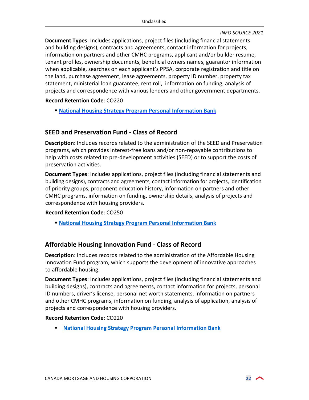**Document Types**: Includes applications, project files (including financial statements and building designs), contracts and agreements, contact information for projects, information on partners and other CMHC programs, applicant and/or builder resume, tenant profiles, ownership documents, beneficial owners names, guarantor information when applicable, searches on each applicant's PPSA, corporate registration and title on the land, purchase agreement, lease agreements, property ID number, property tax statement, ministerial loan guarantee, rent roll, information on funding, analysis of projects and correspondence with various lenders and other government departments.

**Record Retention Code**: CO220

**[National Housing Strategy Program Personal Information Bank](#page-20-0)**

#### **SEED and Preservation Fund - Class of Record**

**Description**: Includes records related to the administration of the SEED and Preservation programs, which provides interest-free loans and/or non-repayable contributions to help with costs related to pre-development activities (SEED) or to support the costs of preservation activities.

**Document Types**: Includes applications, project files (including financial statements and building designs), contracts and agreements, contact information for projects, identification of priority groups, proponent education history, information on partners and other CMHC programs, information on funding, ownership details, analysis of projects and correspondence with housing providers.

#### **Record Retention Code**: CO250

**[National Housing Strategy Program Personal Information Bank](#page-20-0)** 

#### **Affordable Housing Innovation Fund - Class of Record**

**Description**: Includes records related to the administration of the Affordable Housing Innovation Fund program, which supports the development of innovative approaches to affordable housing.

**Document Types**: Includes applications, project files (including financial statements and building designs), contracts and agreements, contact information for projects, personal ID numbers, driver's license, personal net worth statements, information on partners and other CMHC programs, information on funding, analysis of application, analysis of projects and correspondence with housing providers.

#### **Record Retention Code**: CO220

**[National Housing Strategy Program Personal Information Bank](#page-20-0)**

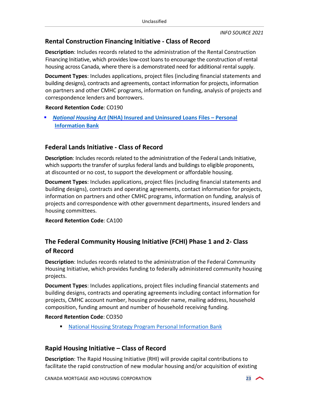## **Rental Construction Financing Initiative - Class of Record**

**Description**: Includes records related to the administration of the Rental Construction Financing Initiative, which provides low-cost loans to encourage the construction of rental housing across Canada, where there is a demonstrated need for additional rental supply.

**Document Types**: Includes applications, project files (including financial statements and building designs), contracts and agreements, contact information for projects, information on partners and other CMHC programs, information on funding, analysis of projects and correspondence lenders and borrowers.

#### **Record Retention Code**: CO190

 *National Housing Act* **(NHA) Insured and Uninsured [Loans Files – Personal](#page-39-0)  Information Bank**

## **Federal Lands Initiative - Class of Record**

**Description**: Includes records related to the administration of the Federal Lands Initiative, which supports the transfer of surplus federal lands and buildings to eligible proponents, at discounted or no cost, to support the development or affordable housing.

**Document Types**: Includes applications, project files (including financial statements and building designs), contracts and operating agreements, contact information for projects, information on partners and other CMHC programs, information on funding, analysis of projects and correspondence with other government departments, insured lenders and housing committees.

**Record Retention Code**: CA100

## **The Federal Community Housing Initiative (FCHI) Phase 1 and 2- Class of Record**

**Description**: Includes records related to the administration of the Federal Community Housing Initiative, which provides funding to federally administered community housing projects.

**Document Types**: Includes applications, project files including financial statements and building designs, contracts and operating agreements including contact information for projects, CMHC account number, housing provider name, mailing address, household composition, funding amount and number of household receiving funding.

#### **Record Retention Code**: CO350

[National Housing Strategy Program Personal Information Bank](#page-20-0)

#### **Rapid Housing Initiative – Class of Record**

**Description**: The Rapid Housing Initiative (RHI) will provide capital contributions to facilitate the rapid construction of new modular housing and/or acquisition of existing

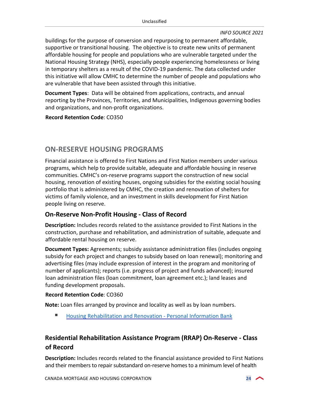buildings for the purpose of conversion and repurposing to permanent affordable, supportive or transitional housing. The objective is to create new units of permanent affordable housing for people and populations who are vulnerable targeted under the National Housing Strategy (NHS), especially people experiencing homelessness or living in temporary shelters as a result of the COVID-19 pandemic. The data collected under this initiative will allow CMHC to determine the number of people and populations who are vulnerable that have been assisted through this initiative.

**Document Types**: Data will be obtained from applications, contracts, and annual reporting by the Provinces, Territories, and Municipalities, Indigenous governing bodies and organizations, and non-profit organizations.

**Record Retention Code**: CO350

## <span id="page-23-0"></span>**ON-RESERVE HOUSING PROGRAMS**

Financial assistance is offered to First Nations and First Nation members under various programs, which help to provide suitable, adequate and affordable housing in reserve communities. CMHC's on-reserve programs support the construction of new social housing, renovation of existing houses, ongoing subsidies for the existing social housing portfolio that is administered by CMHC, the creation and renovation of shelters for victims of family violence, and an investment in skills development for First Nation people living on reserve.

#### **On-Reserve Non-Profit Housing - Class of Record**

**Description:** Includes records related to the assistance provided to First Nations in the construction, purchase and rehabilitation, and administration of suitable, adequate and affordable rental housing on reserve.

**Document Types:** Agreements; subsidy assistance administration files (includes ongoing subsidy for each project and changes to subsidy based on loan renewal); monitoring and advertising files (may include expression of interest in the program and monitoring of number of applicants); reports (i.e. progress of project and funds advanced); insured loan administration files (loan commitment, loan agreement etc.); land leases and funding development proposals.

#### **Record Retention Code**: CO360

**Note:** Loan files arranged by province and locality as well as by loan numbers.

[Housing Rehabilitation and Renovation - Personal Information Bank](#page-24-0)

## **Residential Rehabilitation Assistance Program (RRAP) On-Reserve - Class of Record**

**Description:** Includes records related to the financial assistance provided to First Nations and their members to repair substandard on-reserve homes to a minimum level of health

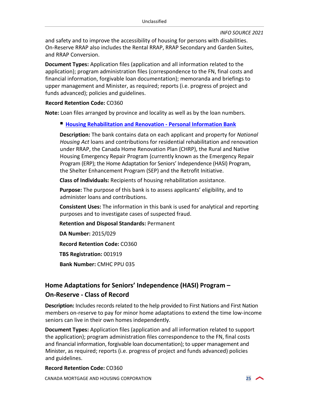and safety and to improve the accessibility of housing for persons with disabilities. On-Reserve RRAP also includes the Rental RRAP, RRAP Secondary and Garden Suites, and RRAP Conversion.

**Document Types:** Application files (application and all information related to the application); program administration files (correspondence to the FN, final costs and financial information, forgivable loan documentation); memoranda and briefings to upper management and Minister, as required; reports (i.e. progress of project and funds advanced); policies and guidelines.

#### **Record Retention Code:** CO360

**Note:** Loan files arranged by province and locality as well as by the loan numbers.

#### <span id="page-24-0"></span>**Housing Rehabilitation and Renovation - Personal Information Bank**

**Description:** The bank contains data on each applicant and property for *National Housing Act* loans and contributions for residential rehabilitation and renovation under RRAP, the Canada Home Renovation Plan (CHRP), the Rural and Native Housing Emergency Repair Program (currently known as the Emergency Repair Program (ERP); the Home Adaptation for Seniors' Independence (HASI) Program, the Shelter Enhancement Program (SEP) and the Retrofit Initiative.

**Class of Individuals:** Recipients of housing rehabilitation assistance.

**Purpose:** The purpose of this bank is to assess applicants' eligibility, and to administer loans and contributions.

**Consistent Uses:** The information in this bank is used for analytical and reporting purposes and to investigate cases of suspected fraud.

**Retention and Disposal Standards:** Permanent

**DA Number:** 2015/029 **Record Retention Code:** CO360 **TBS Registration:** 001919 **Bank Number:** CMHC PPU 035

## **Home Adaptations for Seniors' Independence (HASI) Program – On-Reserve - Class of Record**

**Description:** Includes records related to the help provided to First Nations and First Nation members on-reserve to pay for minor home adaptations to extend the time low-income seniors can live in their own homes independently.

**Document Types:** Application files (application and all information related to support the application); program administration files correspondence to the FN, final costs and financial information, forgivable loan documentation); to upper management and Minister, as required; reports (i.e. progress of project and funds advanced) policies and guidelines.

#### **Record Retention Code:** CO360

CANADA MORTGAGE AND HOUSING CORPORATION **25**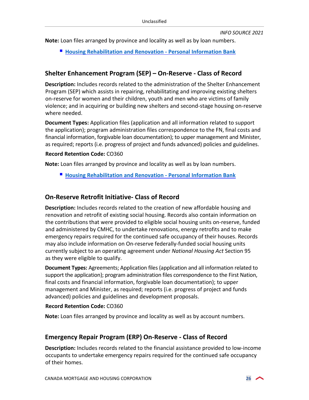**Note:** Loan files arranged by province and locality as well as by loan numbers.

**[Housing Rehabilitation and Renovation - Personal Information Bank](#page-24-0)**

#### **Shelter Enhancement Program (SEP) – On-Reserve - Class of Record**

**Description:** Includes records related to the administration of the Shelter Enhancement Program (SEP) which assists in repairing, rehabilitating and improving existing shelters on-reserve for women and their children, youth and men who are victims of family violence; and in acquiring or building new shelters and second-stage housing on-reserve where needed.

**Document Types:** Application files (application and all information related to support the application); program administration files correspondence to the FN, final costs and financial information, forgivable loan documentation); to upper management and Minister, as required; reports (i.e. progress of project and funds advanced) policies and guidelines.

#### **Record Retention Code:** CO360

**Note:** Loan files arranged by province and locality as well as by loan numbers.

**[Housing Rehabilitation and Renovation - Personal Information Bank](#page-24-0)**

#### **On-Reserve Retrofit Initiative- Class of Record**

**Description:** Includes records related to the creation of new affordable housing and renovation and retrofit of existing social housing. Records also contain information on the contributions that were provided to eligible social housing units on-reserve, funded and administered by CMHC, to undertake renovations, energy retrofits and to make emergency repairs required for the continued safe occupancy of their houses. Records may also include information on On-reserve federally-funded social housing units currently subject to an operating agreement under *National Housing Act* Section 95 as they were eligible to qualify.

**Document Types:** Agreements; Application files (application and all information related to support the application); program administration files correspondence to the First Nation, final costs and financial information, forgivable loan documentation); to upper management and Minister, as required; reports (i.e. progress of project and funds advanced) policies and guidelines and development proposals.

#### **Record Retention Code:** CO360

**Note:** Loan files arranged by province and locality as well as by account numbers.

#### **Emergency Repair Program (ERP) On-Reserve - Class of Record**

**Description:** Includes records related to the financial assistance provided to low-income occupants to undertake emergency repairs required for the continued safe occupancy of their homes.

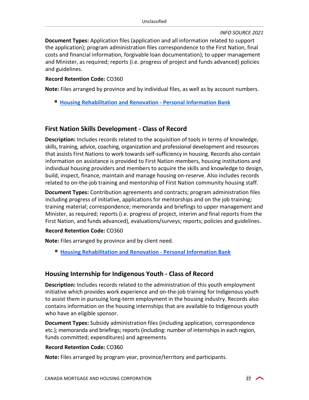**Document Types:** Application files (application and all information related to support the application); program administration files correspondence to the First Nation, final costs and financial information, forgivable loan documentation); to upper management and Minister, as required; reports (i.e. progress of project and funds advanced) policies and guidelines.

#### **Record Retention Code:** CO360

**Note:** Files arranged by province and by individual files, as well as by account numbers.

**[Housing Rehabilitation and Renovation - Personal Information Bank](#page-24-0)**

#### **First Nation Skills Development - Class of Record**

**Description:** Includes records related to the acquisition of tools in terms of knowledge, skills, training, advice, coaching, organization and professional development and resources that assists First Nations to work towards self-sufficiency in housing. Records also contain information on assistance is provided to First Nation members, housing institutions and individual housing providers and members to acquire the skills and knowledge to design, build, inspect, finance, maintain and manage housing on-reserve. Also includes records related to on-the-job training and mentorship of First Nation community housing staff.

**Document Types:** Contribution agreements and contracts; program administration files including progress of initiative, applications for mentorships and on the job training; training material; correspondence; memoranda and briefings to upper management and Minister, as required; reports (i.e. progress of project, interim and final reports from the First Nation, and funds advanced), evaluations/surveys; reports; policies and guidelines.

#### **Record Retention Code:** CO360

**Note:** Files arranged by province and by client need.

**[Housing Rehabilitation and Renovation - Personal Information Bank](#page-24-0)**

#### **Housing Internship for Indigenous Youth - Class of Record**

**Description:** Includes records related to the administration of this youth employment initiative which provides work experience and on-the-job training for Indigenous youth to assist them in pursuing long-term employment in the housing industry. Records also contains information on the housing internships that are available to Indigenous youth who have an eligible sponsor.

**Document Types:** Subsidy administration files (including application, correspondence etc.); memoranda and briefings; reports (including: number of internships in each region, funds committed; expenditures) and agreements.

#### **Record Retention Code:** CO360

**Note:** Files arranged by program year, province/territory and participants.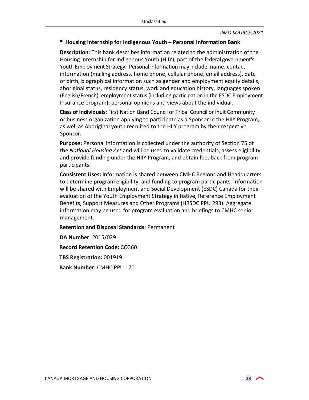#### **Housing Internship for Indigenous Youth – Personal Information Bank**

**Description**: This bank describes information related to the administration of the Housing Internship for Indigenous Youth (HIIY), part of the federal government's Youth Employment Strategy. Personal information may include: name, contact information (mailing address, home phone, cellular phone, email address), date of birth, biographical information such as gender and employment equity details, aboriginal status, residency status, work and education history, languages spoken (English/French), employment status (including participation in the ESDC Employment Insurance program), personal opinions and views about the individual.

**Class of Individuals:** First Nation Band Council or Tribal Council or Inuit Community or business organization applying to participate as a Sponsor in the HIIY Program, as well as Aboriginal youth recruited to the HIIY program by their respective Sponsor.

**Purpose:** Personal information is collected under the authority of Section 75 of the *National Housing Act* and will be used to validate credentials, assess eligibility, and provide funding under the HIIY Program, and obtain feedback from program participants.

**Consistent Uses:** Information is shared between CMHC Regions and Headquarters to determine program eligibility, and funding to program participants. Information will be shared with Employment and Social Development (ESDC) Canada for their evaluation of the Youth Employment Strategy initiative, Reference Employment Benefits, Support Measures and Other Programs (HRSDC PPU 293). Aggregate information may be used for program evaluation and briefings to CMHC senior management.

**Retention and Disposal Standards**: Permanent

**DA Number**: 2015/029 **Record Retention Code:** CO360 **TBS Registration:** 001919 **Bank Number:** CMHC PPU 170

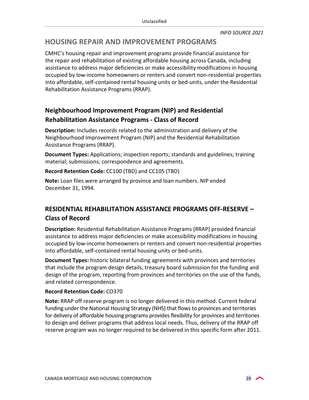## <span id="page-28-0"></span>**HOUSING REPAIR AND IMPROVEMENT PROGRAMS**

CMHC's housing repair and improvement programs provide financial assistance for the repair and rehabilitation of existing affordable housing across Canada, including assistance to address major deficiencies or make accessibility modifications in housing occupied by low-income homeowners or renters and convert non-residential properties into affordable, self-contained rental housing units or bed-units, under the Residential Rehabilitation Assistance Programs (RRAP).

## **Neighbourhood Improvement Program (NIP) and Residential Rehabilitation Assistance Programs - Class of Record**

**Description:** Includes records related to the administration and delivery of the Neighbourhood Improvement Program (NIP) and the Residential Rehabilitation Assistance Programs (RRAP).

**Document Types:** Applications; inspection reports; standards and guidelines; training material; submissions; correspondence and agreements.

**Record Retention Code:** CC100 (TBD) and CC105 (TBD)

**Note:** Loan files were arranged by province and loan numbers. NIP ended December 31, 1994.

## **RESIDENTIAL REHABILITATION ASSISTANCE PROGRAMS OFF-RESERVE – Class of Record**

**Description:** Residential Rehabilitation Assistance Programs (RRAP) provided financial assistance to address major deficiencies or make accessibility modifications in housing occupied by low-income homeowners or renters and convert non-residential properties into affordable, self-contained rental housing units or bed-units.

**Document Types:** historic bilateral funding agreements with provinces and territories that include the program design details, treasury board submission for the funding and design of the program, reporting from provinces and territories on the use of the funds, and related correspondence.

#### **Record Retention Code:** CO370

**Note:** RRAP off reserve program is no longer delivered in this method. Current federal funding-under the National Housing Strategy (NHS) that flows to provinces and territories for delivery of affordable housing programs provides flexibility for provinces and territories to design and deliver programs that address local needs. Thus, delivery of the RRAP off reserve program was no longer required to be delivered in this specific form after 2011.

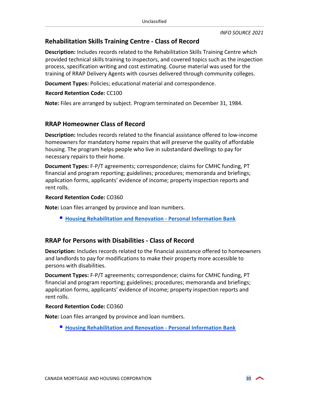## **Rehabilitation Skills Training Centre - Class of Record**

**Description:** Includes records related to the Rehabilitation Skills Training Centre which provided technical skills training to inspectors, and covered topics such as the inspection process, specification writing and cost estimating. Course material was used for the training of RRAP Delivery Agents with courses delivered through community colleges.

**Document Types:** Policies; educational material and correspondence.

#### **Record Retention Code:** CC100

**Note:** Files are arranged by subject. Program terminated on December 31, 1984.

#### **RRAP Homeowner Class of Record**

**Description:** Includes records related to the financial assistance offered to low-income homeowners for mandatory home repairs that will preserve the quality of affordable housing. The program helps people who live in substandard dwellings to pay for necessary repairs to their home.

**Document Types:** F-P/T agreements; correspondence; claims for CMHC funding, PT financial and program reporting; guidelines; procedures; memoranda and briefings; application forms, applicants' evidence of income; property inspection reports and rent rolls.

#### **Record Retention Code:** CO360

**Note:** Loan files arranged by province and loan numbers.

**[Housing Rehabilitation and Renovation - Personal Information Bank](#page-24-0)** 

#### **RRAP for Persons with Disabilities - Class of Record**

**Description:** Includes records related to the financial assistance offered to homeowners and landlords to pay for modifications to make their property more accessible to persons with disabilities.

**Document Types:** F-P/T agreements; correspondence; claims for CMHC funding, PT financial and program reporting; guidelines; procedures; memoranda and briefings; application forms, applicants' evidence of income; property inspection reports and rent rolls.

#### **Record Retention Code:** CO360

**Note:** Loan files arranged by province and loan numbers.

**[Housing Rehabilitation and Renovation - Personal Information](#page-24-0) Bank**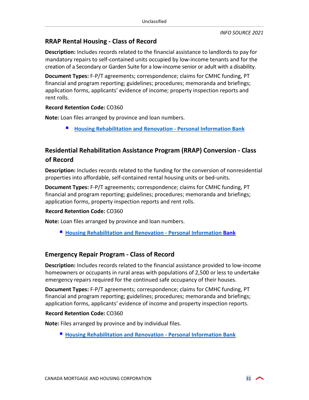## **RRAP Rental Housing - Class of Record**

**Description:** Includes records related to the financial assistance to landlords to pay for mandatory repairs to self-contained units occupied by low-income tenants and for the creation of a Secondary or Garden Suite for a low-income senior or adult with a disability.

**Document Types:** F-P/T agreements; correspondence; claims for CMHC funding, PT financial and program reporting; guidelines; procedures; memoranda and briefings; application forms, applicants' evidence of income; property inspection reports and rent rolls.

#### **Record Retention Code:** CO360

**Note:** Loan files arranged by province and loan numbers.

**[Housing Rehabilitation and Renovation - Personal Information Bank](#page-24-0)**

## **Residential Rehabilitation Assistance Program (RRAP) Conversion - Class of Record**

**Description:** Includes records related to the funding for the conversion of nonresidential properties into affordable, self-contained rental housing units or bed-units.

**Document Types:** F-P/T agreements; correspondence; claims for CMHC funding, PT financial and program reporting; guidelines; procedures; memoranda and briefings; application forms, property inspection reports and rent rolls.

#### **Record Retention Code:** CO360

**Note:** Loan files arranged by province and loan numbers.

**[Housing Rehabilitation and Renovation - Personal Information](#page-24-0) Bank**

#### **Emergency Repair Program - Class of Record**

**Description:** Includes records related to the financial assistance provided to low-income homeowners or occupants in rural areas with populations of 2,500 or less to undertake emergency repairs required for the continued safe occupancy of their houses.

**Document Types:** F-P/T agreements; correspondence; claims for CMHC funding, PT financial and program reporting; guidelines; procedures; memoranda and briefings; application forms, applicants' evidence of income and property inspection reports.

#### **Record Retention Code:** CO360

**Note:** Files arranged by province and by individual files.

**[Housing Rehabilitation and Renovation - Personal Information Bank](#page-24-0)**

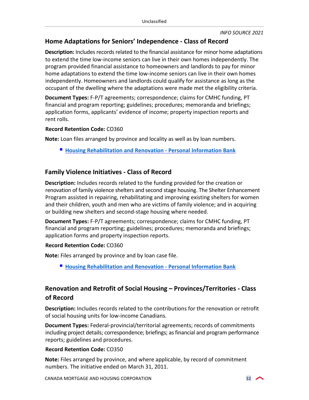## **Home Adaptations for Seniors' Independence - Class of Record**

**Description:** Includes records related to the financial assistance for minor home adaptations to extend the time low-income seniors can live in their own homes independently. The program provided financial assistance to homeowners and landlords to pay for minor home adaptations to extend the time low-income seniors can live in their own homes independently. Homeowners and landlords could qualify for assistance as long as the occupant of the dwelling where the adaptations were made met the eligibility criteria.

**Document Types:** F-P/T agreements; correspondence; claims for CMHC funding, PT financial and program reporting; guidelines; procedures; memoranda and briefings; application forms, applicants' evidence of income; property inspection reports and rent rolls.

#### **Record Retention Code:** CO360

**Note:** Loan files arranged by province and locality as well as by loan numbers.

**[Housing Rehabilitation and Renovation - Personal Information Bank](#page-24-0)**

## **Family Violence Initiatives - Class of Record**

**Description:** Includes records related to the funding provided for the creation or renovation of family violence shelters and second stage housing. The Shelter Enhancement Program assisted in repairing, rehabilitating and improving existing shelters for women and their children, youth and men who are victims of family violence; and in acquiring or building new shelters and second-stage housing where needed.

**Document Types:** F-P/T agreements; correspondence; claims for CMHC funding, PT financial and program reporting; guidelines; procedures; memoranda and briefings; application forms and property inspection reports.

#### **Record Retention Code:** CO360

**Note:** Files arranged by province and by loan case file.

**[Housing Rehabilitation and Renovation - Personal Information Bank](#page-24-0)** 

## **Renovation and Retrofit of Social Housing – Provinces/Territories - Class of Record**

**Description:** Includes records related to the contributions for the renovation or retrofit of social housing units for low-income Canadians.

**Document Types:** Federal-provincial/territorial agreements; records of commitments including project details; correspondence; briefings; as financial and program performance reports; guidelines and procedures.

#### **Record Retention Code:** CO350

**Note:** Files arranged by province, and where applicable, by record of commitment numbers. The initiative ended on March 31, 2011.

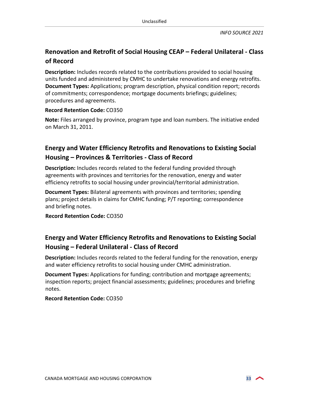## **Renovation and Retrofit of Social Housing CEAP – Federal Unilateral - Class of Record**

**Description:** Includes records related to the contributions provided to social housing units funded and administered by CMHC to undertake renovations and energy retrofits. **Document Types:** Applications; program description, physical condition report; records of commitments; correspondence; mortgage documents briefings; guidelines; procedures and agreements.

#### **Record Retention Code:** CO350

**Note:** Files arranged by province, program type and loan numbers. The initiative ended on March 31, 2011.

## **Energy and Water Efficiency Retrofits and Renovations to Existing Social Housing – Provinces & Territories - Class of Record**

**Description:** Includes records related to the federal funding provided through agreements with provinces and territories for the renovation, energy and water efficiency retrofits to social housing under provincial/territorial administration.

**Document Types:** Bilateral agreements with provinces and territories; spending plans; project details in claims for CMHC funding; P/T reporting; correspondence and briefing notes.

**Record Retention Code:** CO350

## **Energy and Water Efficiency Retrofits and Renovations to Existing Social Housing – Federal Unilateral - Class of Record**

**Description:** Includes records related to the federal funding for the renovation, energy and water efficiency retrofits to social housing under CMHC administration.

**Document Types:** Applications for funding; contribution and mortgage agreements; inspection reports; project financial assessments; guidelines; procedures and briefing notes.

**Record Retention Code:** CO350

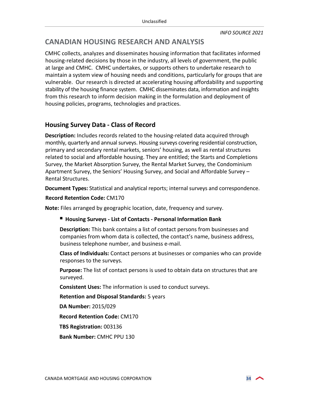## <span id="page-33-0"></span>**CANADIAN HOUSING RESEARCH AND ANALYSIS**

CMHC collects, analyzes and disseminates housing information that facilitates informed housing-related decisions by those in the industry, all levels of government, the public at large and CMHC. CMHC undertakes, or supports others to undertake research to maintain a system view of housing needs and conditions, particularly for groups that are vulnerable. Our research is directed at accelerating housing affordability and supporting stability of the housing finance system. CMHC disseminates data, information and insights from this research to inform decision making in the formulation and deployment of housing policies, programs, technologies and practices.

## **Housing Survey Data - Class of Record**

**Description:** Includes records related to the housing-related data acquired through monthly, quarterly and annual surveys. Housing surveys covering residential construction, primary and secondary rental markets, seniors' housing, as well as rental structures related to social and affordable housing. They are entitled; the Starts and Completions Survey, the Market Absorption Survey, the Rental Market Survey, the Condominium Apartment Survey, the Seniors' Housing Survey, and Social and Affordable Survey – Rental Structures.

**Document Types:** Statistical and analytical reports; internal surveys and correspondence.

#### **Record Retention Code:** CM170

**Note:** Files arranged by geographic location, date, frequency and survey.

#### <span id="page-33-1"></span>**Housing Surveys - List of Contacts - Personal Information Bank**

**Description:** This bank contains a list of contact persons from businesses and companies from whom data is collected, the contact's name, business address, business telephone number, and business e-mail.

**Class of Individuals:** Contact persons at businesses or companies who can provide responses to the surveys.

**Purpose:** The list of contact persons is used to obtain data on structures that are surveyed.

**Consistent Uses:** The information is used to conduct surveys.

**Retention and Disposal Standards:** 5 years

**DA Number:** 2015/029

**Record Retention Code:** CM170

**TBS Registration:** 003136

**Bank Number:** CMHC PPU 130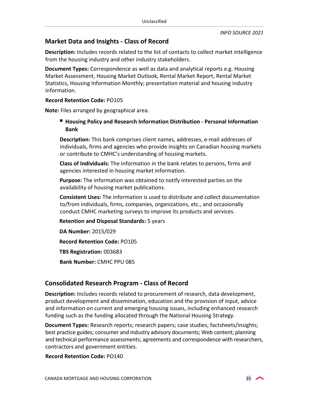#### **Market Data and Insights - Class of Record**

**Description:** Includes records related to the list of contacts to collect market intelligence from the housing industry and other industry stakeholders.

**Document Types:** Correspondence as well as data and analytical reports e.g. Housing Market Assessment, Housing Market Outlook, Rental Market Report, Rental Market Statistics, Housing Information Monthly; presentation material and housing industry information.

#### **Record Retention Code:** PO105

**Note:** Files arranged by geographical area.

#### **Housing Policy and Research Information Distribution - Personal Information Bank**

**Description:** This bank comprises client names, addresses, e-mail addresses of individuals, firms and agencies who provide insights on Canadian housing markets or contribute to CMHC's understanding of housing markets.

**Class of Individuals:** The information in the bank relates to persons, firms and agencies interested in housing market information.

**Purpose:** The information was obtained to notify interested parties on the availability of housing market publications.

**Consistent Uses:** The information is used to distribute and collect documentation to/from individuals, firms, companies, organizations, etc., and occasionally conduct CMHC marketing surveys to improve its products and services.

**Retention and Disposal Standards:** 5 years

**DA Number:** 2015/029 **Record Retention Code:** PO105 **TBS Registration:** 003683 **Bank Number:** CMHC PPU 085

## **Consolidated Research Program - Class of Record**

**Description:** Includes records related to procurement of research, data development, product development and dissemination, education and the provision of input, advice and information on current and emerging housing issues, including enhanced research funding such as the funding allocated through the National Housing Strategy.

**Document Types:** Research reports; research papers; case studies; factsheets/insights; best practice guides; consumer and industry advisory documents; Web content; planning and technical performance assessments; agreements and correspondence with researchers, contractors and government entities.

**Record Retention Code:** PO140

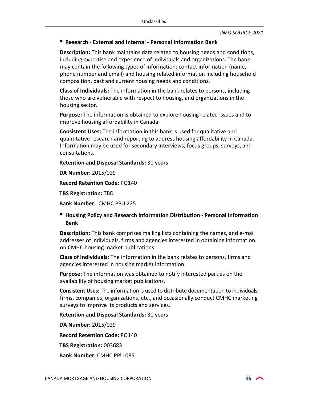#### **Research - External and Internal - Personal Information Bank**

**Description:** This bank maintains data related to housing needs and conditions, including expertise and experience of individuals and organizations. The bank may contain the following types of information: contact information (name, phone number and email) and housing related information including household composition, past and current housing needs and conditions.

**Class of Individuals:** The information in the bank relates to persons, including those who are vulnerable with respect to housing, and organizations in the housing sector.

**Purpose:** The information is obtained to explore housing related issues and to improve housing affordability in Canada.

**Consistent Uses:** The information in this bank is used for qualitative and quantitative research and reporting to address housing affordability in Canada. Information may be used for secondary interviews, focus groups, surveys, and consultations.

**Retention and Disposal Standards:** 30 years

**DA Number:** 2015/029

**Record Retention Code:** PO140

**TBS Registration:** TBD

**Bank Number:** CMHC PPU 225

#### **Housing Policy and Research Information Distribution - Personal Information Bank**

**Description:** This bank comprises mailing lists containing the names, and e-mail addresses of individuals, firms and agencies interested in obtaining information on CMHC housing market publications.

**Class of Individuals:** The information in the bank relates to persons, firms and agencies interested in housing market information.

**Purpose:** The information was obtained to notify interested parties on the availability of housing market publications.

**Consistent Uses:** The information is used to distribute documentation to individuals, firms, companies, organizations, etc., and occasionally conduct CMHC marketing surveys to improve its products and services.

**Retention and Disposal Standards:** 30 years

**DA Number:** 2015/029

**Record Retention Code:** PO140

**TBS Registration:** 003683

**Bank Number:** CMHC PPU 085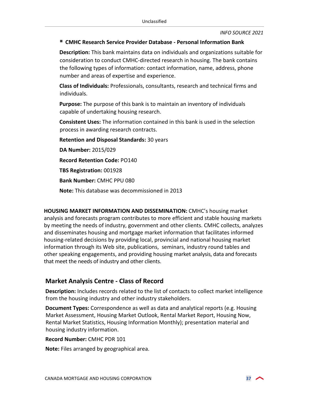#### **CMHC Research Service Provider Database - Personal Information Bank**

**Description:** This bank maintains data on individuals and organizations suitable for consideration to conduct CMHC-directed research in housing. The bank contains the following types of information: contact information, name, address, phone number and areas of expertise and experience.

**Class of Individuals:** Professionals, consultants, research and technical firms and individuals.

**Purpose:** The purpose of this bank is to maintain an inventory of individuals capable of undertaking housing research.

**Consistent Uses:** The information contained in this bank is used in the selection process in awarding research contracts.

**Retention and Disposal Standards:** 30 years

**DA Number:** 2015/029

**Record Retention Code:** PO140

**TBS Registration:** 001928

**Bank Number:** CMHC PPU 080

**Note:** This database was decommissioned in 2013

**HOUSING MARKET INFORMATION AND DISSEMINATION:** CMHC's housing market analysis and forecasts program contributes to more efficient and stable housing markets by meeting the needs of industry, government and other clients. CMHC collects, analyzes and disseminates housing and mortgage market information that facilitates informed housing-related decisions by providing local, provincial and national housing market information through its Web site, publications, seminars, industry round tables and other speaking engagements, and providing housing market analysis, data and forecasts that meet the needs of industry and other clients.

## **Market Analysis Centre - Class of Record**

**Description:** Includes records related to the list of contacts to collect market intelligence from the housing industry and other industry stakeholders.

**Document Types:** Correspondence as well as data and analytical reports (e.g. Housing Market Assessment, Housing Market Outlook, Rental Market Report, Housing Now, Rental Market Statistics, Housing Information Monthly); presentation material and housing industry information.

**Record Number:** CMHC PDR 101

**Note:** Files arranged by geographical area.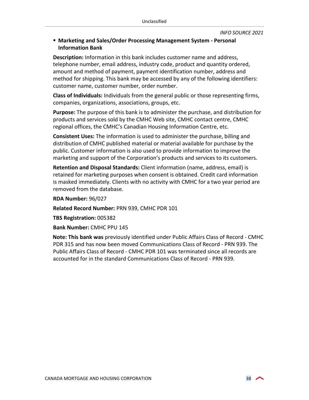#### <span id="page-37-0"></span> **Marketing and Sales/Order Processing Management System - Personal Information Bank**

**Description:** Information in this bank includes customer name and address, telephone number, email address, industry code, product and quantity ordered, amount and method of payment, payment identification number, address and method for shipping. This bank may be accessed by any of the following identifiers: customer name, customer number, order number.

**Class of Individuals:** Individuals from the general public or those representing firms, companies, organizations, associations, groups, etc.

**Purpose:** The purpose of this bank is to administer the purchase, and distribution for products and services sold by the CMHC Web site, CMHC contact centre, CMHC regional offices, the CMHC's Canadian Housing Information Centre, etc.

**Consistent Uses:** The information is used to administer the purchase, billing and distribution of CMHC published material or material available for purchase by the public. Customer information is also used to provide information to improve the marketing and support of the Corporation's products and services to its customers.

**Retention and Disposal Standards:** Client information (name, address, email) is retained for marketing purposes when consent is obtained. Credit card information is masked immediately. Clients with no activity with CMHC for a two year period are removed from the database.

**RDA Number:** 96/027

**Related Record Number:** PRN 939, CMHC PDR 101

**TBS Registration:** 005382

**Bank Number:** CMHC PPU 145

**Note: This bank was** previously identified under Public Affairs Class of Record - CMHC PDR 315 and has now been moved Communications Class of Record - PRN 939. The Public Affairs Class of Record - CMHC PDR 101 was terminated since all records are accounted for in the standard Communications Class of Record - PRN 939.

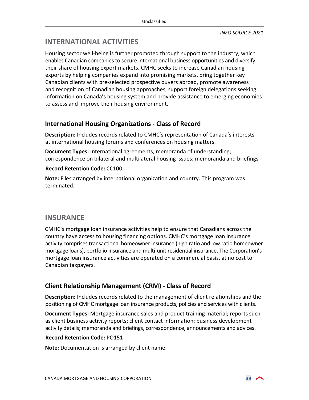## <span id="page-38-0"></span>**INTERNATIONAL ACTIVITIES**

Housing sector well-being is further promoted through support to the industry, which enables Canadian companies to secure international business opportunities and diversify their share of housing export markets. CMHC seeks to increase Canadian housing exports by helping companies expand into promising markets, bring together key Canadian clients with pre-selected prospective buyers abroad, promote awareness and recognition of Canadian housing approaches, support foreign delegations seeking information on Canada's housing system and provide assistance to emerging economies to assess and improve their housing environment.

## **International Housing Organizations - Class of Record**

**Description:** Includes records related to CMHC's representation of Canada's interests at international housing forums and conferences on housing matters.

**Document Types:** International agreements; memoranda of understanding; correspondence on bilateral and multilateral housing issues; memoranda and briefings

#### **Record Retention Code:** CC100

**Note:** Files arranged by international organization and country. This program was terminated.

## <span id="page-38-1"></span>**INSURANCE**

CMHC's mortgage loan insurance activities help to ensure that Canadians across the country have access to housing financing options. CMHC's mortgage loan insurance activity comprises transactional homeowner insurance (high ratio and low ratio homeowner mortgage loans), portfolio insurance and multi-unit residential insurance. The Corporation's mortgage loan insurance activities are operated on a commercial basis, at no cost to Canadian taxpayers.

## **Client Relationship Management (CRM) - Class of Record**

**Description:** Includes records related to the management of client relationships and the positioning of CMHC mortgage loan insurance products, policies and services with clients.

**Document Types:** Mortgage insurance sales and product training material; reports such as client business activity reports; client contact information; business development activity details; memoranda and briefings, correspondence, announcements and advices.

#### **Record Retention Code:** PO151

**Note:** Documentation is arranged by client name.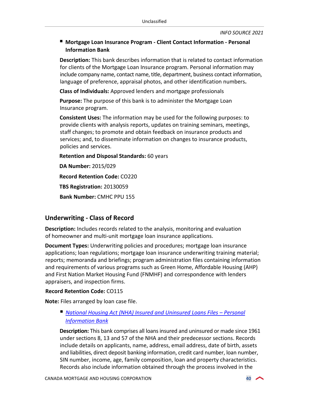#### <span id="page-39-1"></span> **Mortgage Loan Insurance Program - Client Contact Information - Personal Information Bank**

**Description:** This bank describes information that is related to contact information for clients of the Mortgage Loan Insurance program. Personal information may include company name, contact name, title, department, business contact information, language of preference, appraisal photos, and other identification numbers**.** 

**Class of Individuals:** Approved lenders and mortgage professionals

**Purpose:** The purpose of this bank is to administer the Mortgage Loan Insurance program.

**Consistent Uses:** The information may be used for the following purposes: to provide clients with analysis reports, updates on training seminars, meetings, staff changes; to promote and obtain feedback on insurance products and services; and, to disseminate information on changes to insurance products, policies and services.

**Retention and Disposal Standards:** 60 years

**DA Number:** 2015/029 **Record Retention Code:** CO220 **TBS Registration:** 20130059 **Bank Number:** CMHC PPU 155

## **Underwriting - Class of Record**

**Description:** Includes records related to the analysis, monitoring and evaluation of homeowner and multi-unit mortgage loan insurance applications.

**Document Types:** Underwriting policies and procedures; mortgage loan insurance applications; loan regulations; mortgage loan insurance underwriting training material; reports; memoranda and briefings; program administration files containing information and requirements of various programs such as Green Home, Affordable Housing (AHP) and First Nation Market Housing Fund (FNMHF) and correspondence with lenders appraisers, and inspection firms.

#### **Record Retention Code:** CO115

**Note:** Files arranged by loan case file.

<span id="page-39-0"></span> *National Housing Act (NHA) Insured and Uninsured Loans Files – Personal Information Bank*

**Description:** This bank comprises all loans insured and uninsured or made since 1961 under sections 8, 13 and 57 of the NHA and their predecessor sections. Records include details on applicants, name, address, email address, date of birth, assets and liabilities, direct deposit banking information, credit card number, loan number, SIN number, income, age, family composition, loan and property characteristics. Records also include information obtained through the process involved in the

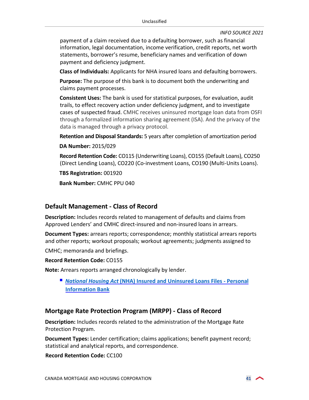payment of a claim received due to a defaulting borrower, such as financial information, legal documentation, income verification, credit reports, net worth statements, borrower's resume, beneficiary names and verification of down payment and deficiency judgment.

**Class of Individuals:** Applicants for NHA insured loans and defaulting borrowers.

**Purpose:** The purpose of this bank is to document both the underwriting and claims payment processes.

**Consistent Uses:** The bank is used for statistical purposes, for evaluation, audit trails, to effect recovery action under deficiency judgment, and to investigate cases of suspected fraud. CMHC receives uninsured mortgage loan data from OSFI through a formalized information sharing agreement (ISA). And the privacy of the data is managed through a privacy protocol.

**Retention and Disposal Standards:** 5 years after completion of amortization period

**DA Number:** 2015/029

**Record Retention Code:** CO115 (Underwriting Loans), CO155 (Default Loans), CO250 (Direct Lending Loans), CO220 (Co-investment Loans, CO190 (Multi-Units Loans).

**TBS Registration:** 001920

**Bank Number:** CMHC PPU 040

#### **Default Management - Class of Record**

**Description:** Includes records related to management of defaults and claims from Approved Lenders' and CMHC direct-insured and non-insured loans in arrears.

**Document Types:** arrears reports; correspondence; monthly statistical arrears reports and other reports; workout proposals; workout agreements; judgments assigned to

CMHC; memoranda and briefings.

**Record Retention Code:** CO155

**Note:** Arrears reports arranged chronologically by lender.

 *National Housing Act* **[\(NHA\) Insured and Uninsured Loans Files - Personal](#page-39-0)  Information Bank**

#### **Mortgage Rate Protection Program (MRPP) - Class of Record**

**Description:** Includes records related to the administration of the Mortgage Rate Protection Program.

**Document Types:** Lender certification; claims applications; benefit payment record; statistical and analytical reports, and correspondence.

**Record Retention Code:** CC100

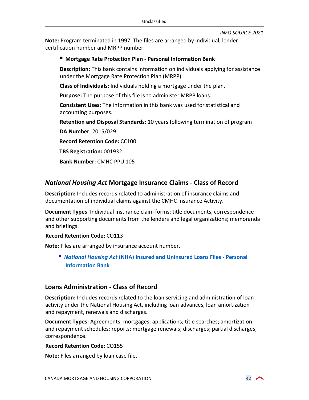**Note:** Program terminated in 1997. The files are arranged by individual, lender certification number and MRPP number.

#### **Mortgage Rate Protection Plan - Personal Information Bank**

**Description:** This bank contains information on individuals applying for assistance under the Mortgage Rate Protection Plan (MRPP).

**Class of Individuals:** Individuals holding a mortgage under the plan.

**Purpose:** The purpose of this file is to administer MRPP loans.

**Consistent Uses:** The information in this bank was used for statistical and accounting purposes.

**Retention and Disposal Standards:** 10 years following termination of program

**DA Number**: 2015/029

**Record Retention Code:** CC100

**TBS Registration:** 001932

**Bank Number:** CMHC PPU 105

## *National Housing Act* **Mortgage Insurance Claims - Class of Record**

**Description:** Includes records related to administration of insurance claims and documentation of individual claims against the CMHC Insurance Activity.

**Document Types** Individual insurance claim forms; title documents, correspondence and other supporting documents from the lenders and legal organizations; memoranda and briefings.

#### **Record Retention Code:** CO113

**Note:** Files are arranged by insurance account number.

 *National Housing Act* **(NHA) Insured and Uninsured [Loans Files - Personal](#page-39-0) Information Bank**

#### **Loans Administration - Class of Record**

**Description:** Includes records related to the loan servicing and administration of loan activity under the National Housing Act, including loan advances, loan amortization and repayment, renewals and discharges.

**Document Types:** Agreements; mortgages; applications; title searches; amortization and repayment schedules; reports; mortgage renewals; discharges; partial discharges; correspondence.

**Record Retention Code:** CO155

**Note:** Files arranged by loan case file.

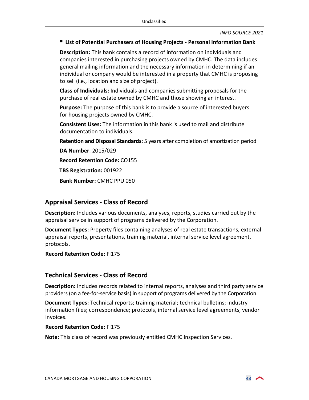#### **List of Potential Purchasers of Housing Projects - Personal Information Bank**

**Description:** This bank contains a record of information on individuals and companies interested in purchasing projects owned by CMHC. The data includes general mailing information and the necessary information in determining if an individual or company would be interested in a property that CMHC is proposing to sell (i.e., location and size of project).

**Class of Individuals:** Individuals and companies submitting proposals for the purchase of real estate owned by CMHC and those showing an interest.

**Purpose:** The purpose of this bank is to provide a source of interested buyers for housing projects owned by CMHC.

**Consistent Uses:** The information in this bank is used to mail and distribute documentation to individuals.

**Retention and Disposal Standards:** 5 years after completion of amortization period

**DA Number**: 2015/029

**Record Retention Code:** CO155

**TBS Registration:** 001922

**Bank Number:** CMHC PPU 050

#### **Appraisal Services - Class of Record**

**Description:** Includes various documents, analyses, reports, studies carried out by the appraisal service in support of programs delivered by the Corporation.

**Document Types:** Property files containing analyses of real estate transactions, external appraisal reports, presentations, training material, internal service level agreement, protocols.

**Record Retention Code:** FI175

#### **Technical Services - Class of Record**

**Description:** Includes records related to internal reports, analyses and third party service providers (on a fee-for-service basis) in support of programs delivered by the Corporation.

**Document Types:** Technical reports; training material; technical bulletins; industry information files; correspondence; protocols, internal service level agreements, vendor invoices.

#### **Record Retention Code:** FI175

**Note:** This class of record was previously entitled CMHC Inspection Services.

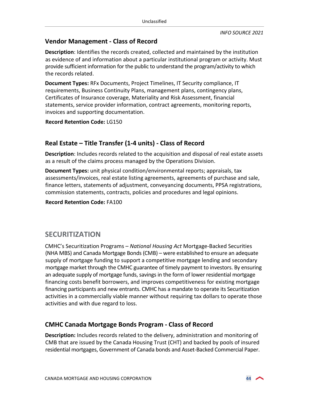## **Vendor Management - Class of Record**

**Description**: Identifies the records created, collected and maintained by the institution as evidence of and information about a particular institutional program or activity. Must provide sufficient information for the public to understand the program/activity to which the records related.

**Document Types:** RFx Documents, Project Timelines, IT Security compliance, IT requirements, Business Continuity Plans, management plans, contingency plans, Certificates of Insurance coverage, Materiality and Risk Assessment, financial statements, service provider information, contract agreements, monitoring reports, invoices and supporting documentation.

**Record Retention Code:** LG150

## **Real Estate – Title Transfer (1-4 units) - Class of Record**

**Description**: Includes records related to the acquisition and disposal of real estate assets as a result of the claims process managed by the Operations Division.

**Document Types:** unit physical condition/environmental reports; appraisals, tax assessments/invoices, real estate listing agreements, agreements of purchase and sale, finance letters, statements of adjustment, conveyancing documents, PPSA registrations, commission statements, contracts, policies and procedures and legal opinions.

**Record Retention Code:** FA100

## <span id="page-43-0"></span>**SECURITIZATION**

CMHC's Securitization Programs – *National Housing Act* Mortgage-Backed Securities (NHA MBS) and Canada Mortgage Bonds (CMB) – were established to ensure an adequate supply of mortgage funding to support a competitive mortgage lending and secondary mortgage market through the CMHC guarantee of timely payment to investors. By ensuring an adequate supply of mortgage funds, savings in the form of lower residential mortgage financing costs benefit borrowers, and improves competitiveness for existing mortgage financing participants and new entrants. CMHC has a mandate to operate its Securitization activities in a commercially viable manner without requiring tax dollars to operate those activities and with due regard to loss.

## **CMHC Canada Mortgage Bonds Program - Class of Record**

**Description:** Includes records related to the delivery, administration and monitoring of CMB that are issued by the Canada Housing Trust (CHT) and backed by pools of insured residential mortgages, Government of Canada bonds and Asset-Backed Commercial Paper.

$$
\sim
$$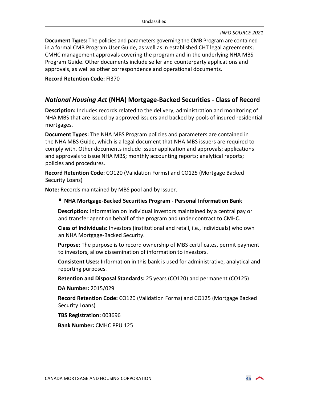**Document Types:** The policies and parameters governing the CMB Program are contained in a formal CMB Program User Guide, as well as in established CHT legal agreements; CMHC management approvals covering the program and in the underlying NHA MBS Program Guide. Other documents include seller and counterparty applications and approvals, as well as other correspondence and operational documents.

#### **Record Retention Code:** FI370

#### *National Housing Act* **(NHA) Mortgage-Backed Securities - Class of Record**

**Description:** Includes records related to the delivery, administration and monitoring of NHA MBS that are issued by approved issuers and backed by pools of insured residential mortgages.

**Document Types:** The NHA MBS Program policies and parameters are contained in the NHA MBS Guide, which is a legal document that NHA MBS issuers are required to comply with. Other documents include issuer application and approvals; applications and approvals to issue NHA MBS; monthly accounting reports; analytical reports; policies and procedures.

**Record Retention Code:** CO120 (Validation Forms) and CO125 (Mortgage Backed Security Loans)

**Note:** Records maintained by MBS pool and by Issuer.

#### **NHA Mortgage-Backed Securities Program - Personal Information Bank**

**Description:** Information on individual investors maintained by a central pay or and transfer agent on behalf of the program and under contract to CMHC.

**Class of Individuals:** Investors (institutional and retail, i.e., individuals) who own an NHA Mortgage-Backed Security.

**Purpose:** The purpose is to record ownership of MBS certificates, permit payment to investors, allow dissemination of information to investors.

**Consistent Uses:** Information in this bank is used for administrative, analytical and reporting purposes.

**Retention and Disposal Standards:** 25 years (CO120) and permanent (CO125)

**DA Number:** 2015/029

**Record Retention Code:** CO120 (Validation Forms) and CO125 (Mortgage Backed Security Loans)

**TBS Registration:** 003696

**Bank Number:** CMHC PPU 125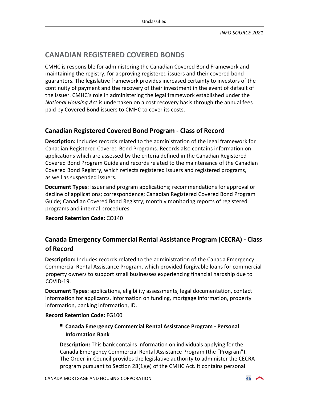## <span id="page-45-0"></span>**CANADIAN REGISTERED COVERED BONDS**

CMHC is responsible for administering the Canadian Covered Bond Framework and maintaining the registry, for approving registered issuers and their covered bond guarantors. The legislative framework provides increased certainty to investors of the continuity of payment and the recovery of their investment in the event of default of the issuer. CMHC's role in administering the legal framework established under the *National Housing Act* is undertaken on a cost recovery basis through the annual fees paid by Covered Bond issuers to CMHC to cover its costs.

## **Canadian Registered Covered Bond Program - Class of Record**

**Description:** Includes records related to the administration of the legal framework for Canadian Registered Covered Bond Programs. Records also contains information on applications which are assessed by the criteria defined in the Canadian Registered Covered Bond Program Guide and records related to the maintenance of the Canadian Covered Bond Registry, which reflects registered issuers and registered programs, as well as suspended issuers.

**Document Types:** Issuer and program applications; recommendations for approval or decline of applications; correspondence; Canadian Registered Covered Bond Program Guide; Canadian Covered Bond Registry; monthly monitoring reports of registered programs and internal procedures.

**Record Retention Code:** CO140

## **Canada Emergency Commercial Rental Assistance Program (CECRA) - Class of Record**

**Description:** Includes records related to the administration of the Canada Emergency Commercial Rental Assistance Program, which provided forgivable loans for commercial property owners to support small businesses experiencing financial hardship due to COVID-19.

**Document Types:** applications, eligibility assessments, legal documentation, contact information for applicants, information on funding, mortgage information, property information, banking information, ID.

#### **Record Retention Code:** FG100

 **Canada Emergency Commercial Rental Assistance Program - Personal Information Bank**

**Description:** This bank contains information on individuals applying for the Canada Emergency Commercial Rental Assistance Program (the "Program"). The Order-in-Council provides the legislative authority to administer the CECRA program pursuant to Section 28(1)(e) of the CMHC Act. It contains personal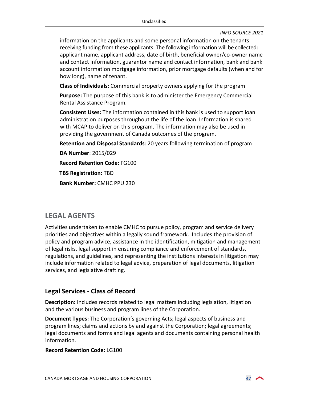information on the applicants and some personal information on the tenants receiving funding from these applicants. The following information will be collected: applicant name, applicant address, date of birth, beneficial owner/co-owner name and contact information, guarantor name and contact information, bank and bank account information mortgage information, prior mortgage defaults (when and for how long), name of tenant.

**Class of Individuals:** Commercial property owners applying for the program

**Purpose:** The purpose of this bank is to administer the Emergency Commercial Rental Assistance Program.

**Consistent Uses:** The information contained in this bank is used to support loan administration purposes throughout the life of the loan. Information is shared with MCAP to deliver on this program. The information may also be used in providing the government of Canada outcomes of the program.

**Retention and Disposal Standards**: 20 years following termination of program

**DA Number**: 2015/029

**Record Retention Code:** FG100

**TBS Registration:** TBD

**Bank Number:** CMHC PPU 230

## <span id="page-46-0"></span>**LEGAL AGENTS**

Activities undertaken to enable CMHC to pursue policy, program and service delivery priorities and objectives within a legally sound framework. Includes the provision of policy and program advice, assistance in the identification, mitigation and management of legal risks, legal support in ensuring compliance and enforcement of standards, regulations, and guidelines, and representing the institutions interests in litigation may include information related to legal advice, preparation of legal documents, litigation services, and legislative drafting.

#### **Legal Services - Class of Record**

**Description:** Includes records related to legal matters including legislation, litigation and the various business and program lines of the Corporation.

**Document Types:** The Corporation's governing Acts; legal aspects of business and program lines; claims and actions by and against the Corporation; legal agreements; legal documents and forms and legal agents and documents containing personal health information.

#### **Record Retention Code:** LG100

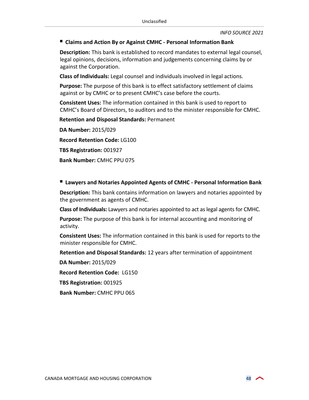#### **Claims and Action By or Against CMHC - Personal Information Bank**

**Description:** This bank is established to record mandates to external legal counsel, legal opinions, decisions, information and judgements concerning claims by or against the Corporation.

**Class of Individuals:** Legal counsel and individuals involved in legal actions.

**Purpose:** The purpose of this bank is to effect satisfactory settlement of claims against or by CMHC or to present CMHC's case before the courts.

**Consistent Uses:** The information contained in this bank is used to report to CMHC's Board of Directors, to auditors and to the minister responsible for CMHC.

**Retention and Disposal Standards:** Permanent

**DA Number:** 2015/029 **Record Retention Code:** LG100 **TBS Registration:** 001927 **Bank Number:** CMHC PPU 075

#### **Lawyers and Notaries Appointed Agents of CMHC - Personal Information Bank**

**Description:** This bank contains information on lawyers and notaries appointed by the government as agents of CMHC.

**Class of Individuals:** Lawyers and notaries appointed to act as legal agents for CMHC.

**Purpose:** The purpose of this bank is for internal accounting and monitoring of activity.

**Consistent Uses:** The information contained in this bank is used for reports to the minister responsible for CMHC.

**Retention and Disposal Standards:** 12 years after termination of appointment

**DA Number:** 2015/029

**Record Retention Code:** LG150

**TBS Registration:** 001925

**Bank Number:** CMHC PPU 065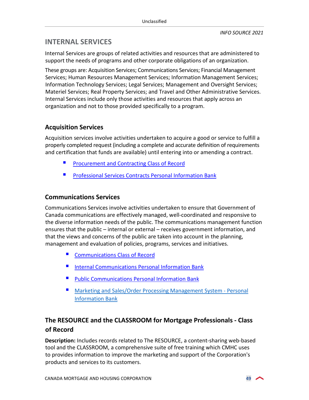## <span id="page-48-0"></span>**INTERNAL SERVICES**

Internal Services are groups of related activities and resources that are administered to support the needs of programs and other corporate obligations of an organization.

These groups are: Acquisition Services; Communications Services; Financial Management Services; Human Resources Management Services; Information Management Services; Information Technology Services; Legal Services; Management and Oversight Services; Materiel Services; Real Property Services; and Travel and Other Administrative Services. Internal Services include only those activities and resources that apply across an organization and not to those provided specifically to a program.

## **Acquisition Services**

Acquisition services involve activities undertaken to acquire a good or service to fulfill a properly completed request (including a complete and accurate definition of requirements and certification that funds are available) until entering into or amending a contract.

- **[Procurement and Contracting Class of Record](https://www.canada.ca/en/treasury-board-secretariat/services/access-information-privacy/access-information/information-about-programs-information-holdings/standard-classes-records.html#prn912)**
- **[Professional Services Contracts Personal Information Bank](https://www.canada.ca/en/treasury-board-secretariat/services/access-information-privacy/access-information/information-about-programs-information-holdings/standard-personal-information-banks.html#psu912)**

## **Communications Services**

Communications Services involve activities undertaken to ensure that Government of Canada communications are effectively managed, well-coordinated and responsive to the diverse information needs of the public. The communications management function ensures that the public – internal or external – receives government information, and that the views and concerns of the public are taken into account in the planning, management and evaluation of policies, programs, services and initiatives.

- [Communications Class of Record](https://www.canada.ca/en/treasury-board-secretariat/services/access-information-privacy/access-information/information-about-programs-information-holdings/standard-classes-records.html#prn939)
- **[Internal Communications Personal Information Bank](https://www.canada.ca/en/treasury-board-secretariat/services/access-information-privacy/access-information/information-about-programs-information-holdings/standard-personal-information-banks.html#psu915)**
- [Public Communications Personal Information Bank](https://www.canada.ca/en/treasury-board-secretariat/services/access-information-privacy/access-information/information-about-programs-information-holdings/standard-personal-information-banks.html#psu914)
- **Marketing and Sales/Order Processing Management System Personal** Information Bank

## **The RESOURCE and the CLASSROOM for Mortgage Professionals - Class of Record**

**Description:** Includes records related to The RESOURCE, a content-sharing web-based tool and the CLASSROOM, a comprehensive suite of free training which CMHC uses to provides information to improve the marketing and support of the Corporation's products and services to its customers.

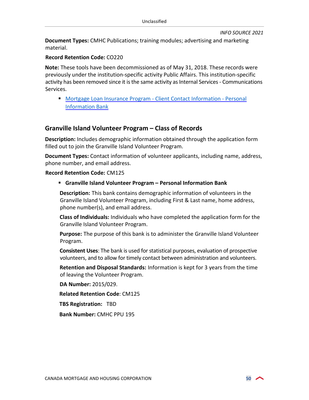**Document Types:** CMHC Publications; training modules; advertising and marketing material.

#### **Record Retention Code:** CO220

**Note:** These tools have been decommissioned as of May 31, 2018. These records were previously under the institution-specific activity Public Affairs. This institution-specific activity has been removed since it is the same activity as Internal Services - Communications Services.

 [Mortgage Loan Insurance Program - Client Contact Information - Personal](#page-39-1) Information Bank

#### **Granville Island Volunteer Program – Class of Records**

**Description:** Includes demographic information obtained through the application form filled out to join the Granville Island Volunteer Program.

**Document Types:** Contact information of volunteer applicants, including name, address, phone number, and email address.

#### <span id="page-49-0"></span>**Record Retention Code:** CM125

#### **Granville Island Volunteer Program – Personal Information Bank**

**Description:** This bank contains demographic information of volunteers in the Granville Island Volunteer Program, including First & Last name, home address, phone number(s), and email address.

**Class of Individuals:** Individuals who have completed the application form for the Granville Island Volunteer Program.

**Purpose:** The purpose of this bank is to administer the Granville Island Volunteer Program.

**Consistent Uses**: The bank is used for statistical purposes, evaluation of prospective volunteers, and to allow for timely contact between administration and volunteers.

**Retention and Disposal Standards:** Information is kept for 3 years from the time of leaving the Volunteer Program.

**DA Number:** 2015/029.

**Related Retention Code**: CM125

**TBS Registration:**TBD

**Bank Number:** CMHC PPU 195

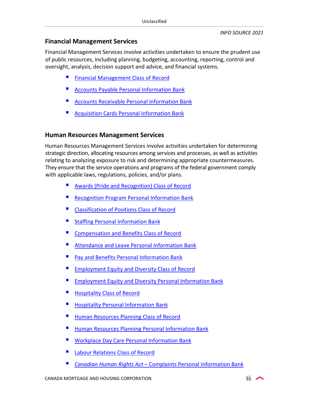#### **Financial Management Services**

Financial Management Services involve activities undertaken to ensure the prudent use of public resources, including planning, budgeting, accounting, reporting, control and oversight, analysis, decision support and advice, and financial systems.

- **[Financial Management Class of Record](https://www.canada.ca/en/treasury-board-secretariat/services/access-information-privacy/access-information/information-about-programs-information-holdings/standard-classes-records.html#prn914)**
- [Accounts Payable Personal Information Bank](https://www.canada.ca/en/treasury-board-secretariat/services/access-information-privacy/access-information/information-about-programs-information-holdings/standard-personal-information-banks.html#psu931)
- [Accounts Receivable Personal Information Bank](https://www.canada.ca/en/treasury-board-secretariat/services/access-information-privacy/access-information/information-about-programs-information-holdings/standard-personal-information-banks.html#psu932)
- [Acquisition Cards Personal Information Bank](https://www.canada.ca/en/treasury-board-secretariat/services/access-information-privacy/access-information/information-about-programs-information-holdings/standard-personal-information-banks.html#psu940)

#### **Human Resources Management Services**

Human Resources Management Services involve activities undertaken for determining strategic direction, allocating resources among services and processes, as well as activities relating to analyzing exposure to risk and determining appropriate countermeasures. They ensure that the service operations and programs of the federal government comply with applicable laws, regulations, policies, and/or plans.

- [Awards \(Pride and Recognition\) Class of Record](https://www.canada.ca/en/treasury-board-secretariat/services/access-information-privacy/access-information/information-about-programs-information-holdings/standard-classes-records.html#prn940)
- [Recognition Program Personal Information Bank](https://www.canada.ca/en/treasury-board-secretariat/services/access-information-privacy/access-information/information-about-programs-information-holdings/standard-personal-information-banks.html#pse920)
- [Classification of Positions Class of Record](https://www.canada.ca/en/treasury-board-secretariat/services/access-information-privacy/access-information/information-about-programs-information-holdings/standard-classes-records.html#prn919)
- [Staffing Personal Information Bank](https://www.canada.ca/en/treasury-board-secretariat/services/access-information-privacy/access-information/information-about-programs-information-holdings/standard-personal-information-banks.html#pse902)
- [Compensation and Benefits Class of Record](https://www.canada.ca/en/treasury-board-secretariat/services/access-information-privacy/access-information/information-about-programs-information-holdings/standard-classes-records.html#prn941)
- [Attendance and Leave Personal Information Bank](https://www.canada.ca/en/treasury-board-secretariat/services/access-information-privacy/access-information/information-about-programs-information-holdings/standard-personal-information-banks.html#pse903)
- **[Pay and Benefits Personal Information Bank](https://www.canada.ca/en/treasury-board-secretariat/services/access-information-privacy/access-information/information-about-programs-information-holdings/standard-personal-information-banks.html#pse904)**
- [Employment Equity and Diversity Class of Record](https://www.canada.ca/en/treasury-board-secretariat/services/access-information-privacy/access-information/information-about-programs-information-holdings/standard-classes-records.html#prn942)
- [Employment Equity and Diversity Personal Information Bank](https://www.canada.ca/en/treasury-board-secretariat/services/access-information-privacy/access-information/information-about-programs-information-holdings/standard-personal-information-banks.html#pse918)
- [Hospitality Class of Record](https://www.canada.ca/en/treasury-board-secretariat/services/access-information-privacy/access-information/information-about-programs-information-holdings/standard-classes-records.html#prn933)
- [Hospitality Personal Information Bank](https://www.canada.ca/en/treasury-board-secretariat/services/access-information-privacy/access-information/information-about-programs-information-holdings/standard-personal-information-banks.html#psu908)
- [Human Resources Planning Class](https://www.canada.ca/en/treasury-board-secretariat/services/access-information-privacy/access-information/information-about-programs-information-holdings/standard-classes-records.html#prn949) of Record
- [Human Resources Planning Personal Information Bank](https://www.canada.ca/en/treasury-board-secretariat/services/access-information-privacy/access-information/information-about-programs-information-holdings/standard-personal-information-banks.html#psu935)
- [Workplace Day Care Personal Information Bank](https://www.canada.ca/en/treasury-board-secretariat/services/access-information-privacy/access-information/information-about-programs-information-holdings/standard-personal-information-banks.html#pse930)
- [Labour Relations Class of Record](https://www.canada.ca/en/treasury-board-secretariat/services/access-information-privacy/access-information/information-about-programs-information-holdings/standard-classes-records.html#prn926)
- *Canadian Human Rights Act* [Complaints Personal Information Bank](https://www.canada.ca/en/treasury-board-secretariat/services/access-information-privacy/access-information/information-about-programs-information-holdings/standard-personal-information-banks.html#psu933)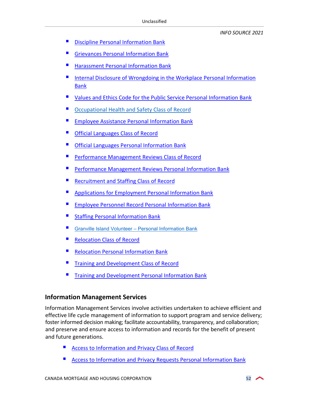- [Discipline Personal Information Bank](https://www.canada.ca/en/treasury-board-secretariat/services/access-information-privacy/access-information/information-about-programs-information-holdings/standard-personal-information-banks.html#pse911)
- [Grievances Personal Information Bank](https://www.canada.ca/en/treasury-board-secretariat/services/access-information-privacy/access-information/information-about-programs-information-holdings/standard-personal-information-banks.html#pse910)
- [Harassment Personal Information](https://www.canada.ca/en/treasury-board-secretariat/services/access-information-privacy/access-information/information-about-programs-information-holdings/standard-personal-information-banks.html#pse919) Bank
- [Internal Disclosure of Wrongdoing in the Workplace Personal Information](https://www.canada.ca/en/treasury-board-secretariat/services/access-information-privacy/access-information/information-about-programs-information-holdings/standard-personal-information-banks.html#psu906)  Bank
- [Values and Ethics Code for the Public Service Personal Information Bank](https://www.canada.ca/en/treasury-board-secretariat/services/access-information-privacy/access-information/information-about-programs-information-holdings/standard-personal-information-banks.html#pse915)
- [Occupational Health and Safety](https://www.canada.ca/en/treasury-board-secretariat/services/access-information-privacy/access-information/information-about-programs-information-holdings/standard-classes-records.html#prn922) Class of Record
- [Employee Assistance Personal Information Bank](https://www.canada.ca/en/treasury-board-secretariat/services/access-information-privacy/access-information/information-about-programs-information-holdings/standard-personal-information-banks.html#pse916)
- [Official Languages Class of Record](https://www.canada.ca/en/treasury-board-secretariat/services/access-information-privacy/access-information/information-about-programs-information-holdings/standard-classes-records.html#prn923)
- [Official Languages Personal Information Bank](https://www.canada.ca/en/treasury-board-secretariat/services/access-information-privacy/access-information/information-about-programs-information-holdings/standard-personal-information-banks.html#pse906)
- [Performance Management Reviews Class of Record](https://www.canada.ca/en/treasury-board-secretariat/services/access-information-privacy/access-information/information-about-programs-information-holdings/standard-classes-records.html#prn946)
- [Performance Management Reviews Personal Information Bank](https://www.canada.ca/en/treasury-board-secretariat/services/access-information-privacy/access-information/information-about-programs-information-holdings/standard-personal-information-banks.html#pse912https://www.canada.ca/en/treasury-board-secretariat/services/access-information-privacy/access-information/information-about-programs-information-holdings/standard-personal-information-banks.html)
- Recruitment and [Staffing Class of Record](https://www.canada.ca/en/treasury-board-secretariat/services/access-information-privacy/access-information/information-about-programs-information-holdings/standard-classes-records.html#prn920http://www.infosource.gc.ca/emp/emp02-eng.asp)
- [Applications for Employment Personal Information Bank](https://www.canada.ca/en/treasury-board-secretariat/services/access-information-privacy/access-information/information-about-programs-information-holdings/standard-personal-information-banks.html#psu911)
- [Employee Personnel Record Personal Information Bank](https://www.canada.ca/en/treasury-board-secretariat/services/access-information-privacy/access-information/information-about-programs-information-holdings/standard-personal-information-banks.html#pse901)
- [Staffing Personal Information Bank](https://www.canada.ca/en/treasury-board-secretariat/services/access-information-privacy/access-information/information-about-programs-information-holdings/standard-personal-information-banks.html#pse902)
- [Granville Island Volunteer Personal Information Bank](#page-49-0)
- [Relocation Class of Record](https://www.canada.ca/en/treasury-board-secretariat/services/access-information-privacy/access-information/information-about-programs-information-holdings/standard-classes-records.html#prn936)
- [Relocation Personal Information Bank](https://www.canada.ca/en/treasury-board-secretariat/services/access-information-privacy/access-information/information-about-programs-information-holdings/standard-personal-information-banks.html#psu910)
- [Training and Development Class of Record](https://www.canada.ca/en/treasury-board-secretariat/services/access-information-privacy/access-information/information-about-programs-information-holdings/standard-classes-records.html#prn927)
- [Training and Development Personal Information Bank](https://www.canada.ca/en/treasury-board-secretariat/services/access-information-privacy/access-information/information-about-programs-information-holdings/standard-personal-information-banks.html#pse905)

#### **Information Management Services**

Information Management Services involve activities undertaken to achieve efficient and effective life cycle management of information to support program and service delivery; foster informed decision making; facilitate accountability, transparency, and collaboration; and preserve and ensure access to information and records for the benefit of present and future generations.

- [Access to Information and Privacy Class of Record](https://www.canada.ca/en/treasury-board-secretariat/services/access-information-privacy/access-information/information-about-programs-information-holdings/standard-classes-records.html#prn930)
- [Access to Information and Privacy Requests Personal Information Bank](https://www.canada.ca/en/treasury-board-secretariat/services/access-information-privacy/access-information/information-about-programs-information-holdings/standard-personal-information-banks.html#psu901)

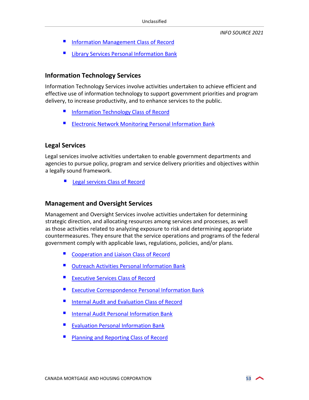- **[Information Management Class of Record](https://www.canada.ca/en/treasury-board-secretariat/services/access-information-privacy/access-information/information-about-programs-information-holdings/standard-classes-records.html#prn944)**
- **E** [Library Services Personal Information Bank](https://www.canada.ca/en/treasury-board-secretariat/services/access-information-privacy/access-information/information-about-programs-information-holdings/standard-personal-information-banks.html#psu936)

#### **Information Technology Services**

Information Technology Services involve activities undertaken to achieve efficient and effective use of information technology to support government priorities and program delivery, to increase productivity, and to enhance services to the public.

- **Information Technology Class of Record**
- **[Electronic Network Monitoring Personal Information Bank](https://www.canada.ca/en/treasury-board-secretariat/services/access-information-privacy/access-information/information-about-programs-information-holdings/standard-personal-information-banks.html#psu905)**

#### **Legal Services**

Legal services involve activities undertaken to enable government departments and agencies to pursue policy, program and service delivery priorities and objectives within a legally sound framework.

[Legal services Class of Record](https://www.canada.ca/en/treasury-board-secretariat/services/access-information-privacy/access-information/information-about-programs-information-holdings/standard-classes-records.html#prn902)

#### **Management and Oversight Services**

Management and Oversight Services involve activities undertaken for determining strategic direction, and allocating resources among services and processes, as well as those activities related to analyzing exposure to risk and determining appropriate countermeasures. They ensure that the service operations and programs of the federal government comply with applicable laws, regulations, policies, and/or plans.

- [Cooperation and Liaison Class of Record](https://www.canada.ca/en/treasury-board-secretariat/services/access-information-privacy/access-information/information-about-programs-information-holdings/standard-classes-records.html#prn904)
- **Dutreach Activities Personal Information Bank**
- **Executive Services Class of Record**
- **EXECUTER CORPORTION EXAMPLE PERSONAL INFORMATION BANK**
- [Internal Audit and Evaluation Class of Record](https://www.canada.ca/en/treasury-board-secretariat/services/access-information-privacy/access-information/information-about-programs-information-holdings/standard-classes-records.html#prn916)
- **[Internal Audit Personal Information Bank](https://www.canada.ca/en/treasury-board-secretariat/services/access-information-privacy/access-information/information-about-programs-information-holdings/standard-personal-information-banks.html#psu941)**
- **[Evaluation Personal Information](https://www.canada.ca/en/treasury-board-secretariat/services/access-information-privacy/access-information/information-about-programs-information-holdings/standard-personal-information-banks.html#psu942) Bank**
- **[Planning and Reporting Class of Record](https://www.canada.ca/en/treasury-board-secretariat/services/access-information-privacy/access-information/information-about-programs-information-holdings/standard-classes-records.html#prn947)**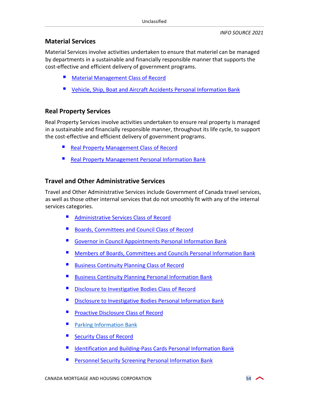#### **Material Services**

Material Services involve activities undertaken to ensure that materiel can be managed by departments in a sustainable and financially responsible manner that supports the cost-effective and efficient delivery of government programs.

- [Material Management Class of Record](https://www.canada.ca/en/treasury-board-secretariat/services/access-information-privacy/access-information/information-about-programs-information-holdings/standard-classes-records.html#prn945)
- **UPICE** [Vehicle, Ship, Boat and Aircraft Accidents Personal Information Bank](https://www.canada.ca/en/treasury-board-secretariat/services/access-information-privacy/access-information/information-about-programs-information-holdings/standard-personal-information-banks.html#pse908)

## **Real Property Services**

Real Property Services involve activities undertaken to ensure real property is managed in a sustainable and financially responsible manner, throughout its life cycle, to support the cost-effective and efficient delivery of government programs.

- [Real Property Management Class of Record](https://www.canada.ca/en/treasury-board-secretariat/services/access-information-privacy/access-information/information-about-programs-information-holdings/standard-classes-records.html#prn948)
- [Real Property Management Personal Information Bank](https://www.canada.ca/en/treasury-board-secretariat/services/access-information-privacy/access-information/information-about-programs-information-holdings/standard-personal-information-banks.html#psu914a)

## **Travel and Other Administrative Services**

Travel and Other Administrative Services include Government of Canada travel services, as well as those other internal services that do not smoothly fit with any of the internal services categories.

- [Administrative Services Class of Record](https://www.canada.ca/en/treasury-board-secretariat/services/access-information-privacy/access-information/information-about-programs-information-holdings/standard-classes-records.html#prn901)
- [Boards, Committees and Council Class of Record](https://www.canada.ca/en/treasury-board-secretariat/services/access-information-privacy/access-information/information-about-programs-information-holdings/standard-classes-records.html#prn938)
- [Governor in Council Appointments Personal Information Bank](https://www.canada.ca/en/treasury-board-secretariat/services/access-information-privacy/access-information/information-about-programs-information-holdings/standard-personal-information-banks.html#psu918)
- Members [of Boards, Committees and Councils Personal Information Bank](https://www.canada.ca/en/treasury-board-secretariat/services/access-information-privacy/access-information/information-about-programs-information-holdings/standard-personal-information-banks.html#psu919http://www.infosource.gc.ca/emp/emp03-eng.asp)
- [Business Continuity Planning Class of Record](https://www.canada.ca/en/treasury-board-secretariat/services/access-information-privacy/access-information/information-about-programs-information-holdings/standard-classes-records.html#prn928)
- **[Business Continuity Planning Personal Information Bank](https://www.canada.ca/en/treasury-board-secretariat/services/access-information-privacy/access-information/information-about-programs-information-holdings/standard-personal-information-banks.html#psu903)**
- [Disclosure to Investigative Bodies Class of Record](https://www.canada.ca/en/treasury-board-secretariat/services/access-information-privacy/access-information/information-about-programs-information-holdings/standard-classes-records.html#prn937)
- Disclosure [to Investigative Bodies Personal Information Bank](https://www.canada.ca/en/treasury-board-secretariat/services/access-information-privacy/access-information/information-about-programs-information-holdings/standard-personal-information-banks.html#psu913)
- [Proactive Disclosure Class of Record](https://www.canada.ca/en/treasury-board-secretariat/services/access-information-privacy/access-information/information-about-programs-information-holdings/standard-classes-records.html#prn935)
- **[Parking Information Bank](https://www.canada.ca/en/treasury-board-secretariat/services/access-information-privacy/access-information/information-about-programs-information-holdings/standard-personal-information-banks.html#pse914)**
- [Security Class of Record](https://www.canada.ca/en/treasury-board-secretariat/services/access-information-privacy/access-information/information-about-programs-information-holdings/standard-classes-records.html#prn931)
- [Identification and Building-Pass Cards Personal Information Bank](https://www.canada.ca/en/treasury-board-secretariat/services/access-information-privacy/access-information/information-about-programs-information-holdings/standard-personal-information-banks.html#pse917)
- Personnel Security [Screening Personal Information Bank](https://www.canada.ca/en/treasury-board-secretariat/services/access-information-privacy/access-information/information-about-programs-information-holdings/standard-personal-information-banks.html#psu917)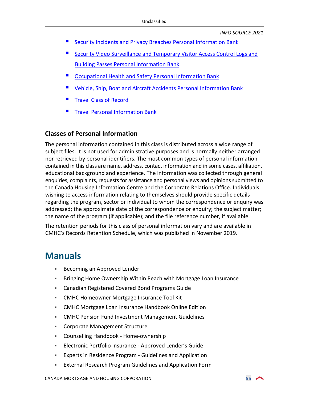- Security Incidents and Privacy Breaches [Personal Information Bank](https://www.canada.ca/en/treasury-board-secretariat/services/access-information-privacy/access-information/information-about-programs-information-holdings/standard-personal-information-banks.html#psu939)
- [Security Video Surveillance and Temporary Visitor Access Control Logs and](https://www.canada.ca/en/treasury-board-secretariat/services/access-information-privacy/access-information/information-about-programs-information-holdings/standard-personal-information-banks.html#psu9072) Building Passes Personal Information Bank
- [Occupational Health and Safety Personal Information Bank](https://www.canada.ca/en/treasury-board-secretariat/services/access-information-privacy/access-information/information-about-programs-information-holdings/standard-personal-information-banks.html#pse907)
- [Vehicle, Ship, Boat and Aircraft Accidents Personal Information Bank](https://www.canada.ca/en/treasury-board-secretariat/services/access-information-privacy/access-information/information-about-programs-information-holdings/standard-personal-information-banks.html#pse908)
- [Travel Class of Record](https://www.canada.ca/en/treasury-board-secretariat/services/access-information-privacy/access-information/information-about-programs-information-holdings/standard-classes-records.html#prn934)
- [Travel Personal Information Bank](https://www.canada.ca/en/treasury-board-secretariat/services/access-information-privacy/access-information/information-about-programs-information-holdings/standard-personal-information-banks.html#psu909)

#### **Classes of Personal Information**

The personal information contained in this class is distributed across a wide range of subject files. It is not used for administrative purposes and is normally neither arranged nor retrieved by personal identifiers. The most common types of personal information contained in this class are name, address, contact information and in some cases, affiliation, educational background and experience. The information was collected through general enquiries, complaints, requests for assistance and personal views and opinions submitted to the Canada Housing Information Centre and the Corporate Relations Office. Individuals wishing to access information relating to themselves should provide specific details regarding the program, sector or individual to whom the correspondence or enquiry was addressed; the approximate date of the correspondence or enquiry; the subject matter; the name of the program (if applicable); and the file reference number, if available.

The retention periods for this class of personal information vary and are available in CMHC's Records Retention Schedule, which was published in November 2019.

## <span id="page-54-0"></span>**Manuals**

- **Becoming an Approved Lender**
- Bringing Home Ownership Within Reach with Mortgage Loan Insurance
- Canadian Registered Covered Bond Programs Guide
- CMHC Homeowner Mortgage Insurance Tool Kit
- CMHC Mortgage Loan Insurance Handbook Online Edition
- CMHC Pension Fund Investment Management Guidelines
- Corporate Management Structure
- Counselling Handbook Home-ownership
- Electronic Portfolio Insurance Approved Lender's Guide
- Experts in Residence Program Guidelines and Application
- External Research Program Guidelines and Application Form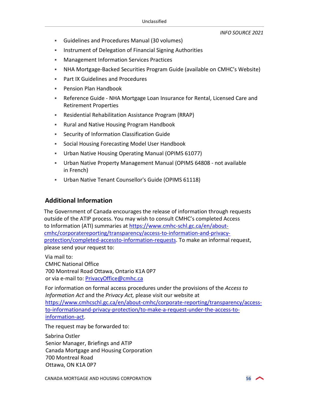- Guidelines and Procedures Manual (30 volumes)
- **Instrument of Delegation of Financial Signing Authorities**
- Management Information Services Practices
- NHA Mortgage-Backed Securities Program Guide (available on CMHC's Website)
- Part IX Guidelines and Procedures
- Pension Plan Handbook
- Reference Guide NHA Mortgage Loan Insurance for Rental, Licensed Care and Retirement Properties
- Residential Rehabilitation Assistance Program (RRAP)
- Rural and Native Housing Program Handbook
- Security of Information Classification Guide
- **Social Housing Forecasting Model User Handbook**
- Urban Native Housing Operating Manual (OPIMS 61077)
- Urban Native Property Management Manual (OPIMS 64808 not available in French)
- Urban Native Tenant Counsellor's Guide (OPIMS 61118)

#### **Additional Information**

The Government of Canada encourages the release of information through requests outside of the ATIP process. You may wish to consult CMHC's completed Access to Information (ATI) summaries at https://www.cmhc-schl.gc.ca/en/about[cmhc/corporatereporting/transparency/access-to-information-and-privacy](https://www.cmhc-schl.gc.ca/en/about-cmhc/corporate-reporting/transparency/access-to-information-and-privacy-protection/completed-access-to-information-requests)protection/completed-accessto-information-requests. To make an informal request, please send your request to:

Via mail to: CMHC National Office 700 Montreal Road Ottawa, Ontario K1A 0P7 or via e-mail to: PrivacyOffice@cmhc.ca

For information on formal access procedures under the provisions of the *Access to Information Act* and the *Privacy Act,* please visit our website at [https://www.cmhcschl.gc.ca/en/about-cmhc/corporate-reporting/transparency/access](https://www.cmhc-schl.gc.ca/en/about-cmhc/corporate-reporting/transparency/access-to-information-and-privacy-protection/to-make-a-request-under-the-access-to-information-act)to-informationand-privacy-protection/to-make-a-request-under-the-access-toinformation-act.

The request may be forwarded to:

Sabrina Ostler Senior Manager, Briefings and ATIP Canada Mortgage and Housing Corporation 700 Montreal Road Ottawa, ON K1A 0P7